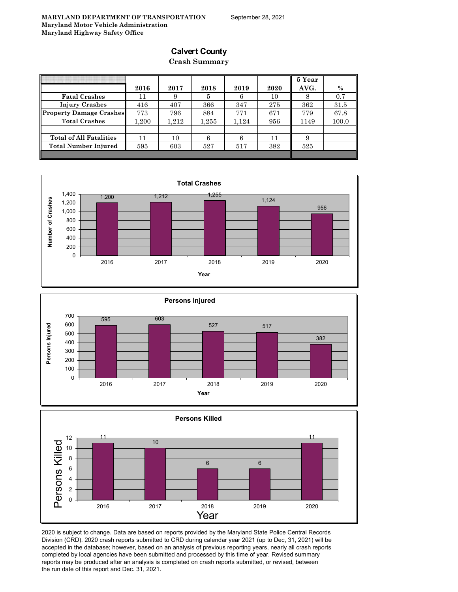# **Calvert County**

### **Crash Summary**

|                                | 2016 | 2017      | 2018  | 2019  | 2020 | 5 Year<br>AVG. | $\%$  |
|--------------------------------|------|-----------|-------|-------|------|----------------|-------|
| <b>Fatal Crashes</b>           | 11   | 9         | 5     | 6     | 10   |                | 0.7   |
| <b>Injury Crashes</b>          | 416  | 407       | 366   | 347   | 275  | 362            | 31.5  |
| <b>Property Damage Crashes</b> | 773  | 796       | 884   | 771   | 671  | 779            | 67.8  |
| <b>Total Crashes</b>           | .200 | $1.212\,$ | 1,255 | 1.124 | 956  | 1149           | 100.0 |
|                                |      |           |       |       |      |                |       |
| <b>Total of All Fatalities</b> | 11   | 10        | 6     | 6     | 11   | 9              |       |
| <b>Total Number Injured</b>    | 595  | 603       | 527   | 517   | 382  | 525            |       |
|                                |      |           |       |       |      |                |       |







2020 is subject to change. Data are based on reports provided by the Maryland State Police Central Records Division (CRD). 2020 crash reports submitted to CRD during calendar year 2021 (up to Dec, 31, 2021) will be accepted in the database; however, based on an analysis of previous reporting years, nearly all crash reports completed by local agencies have been submitted and processed by this time of year. Revised summary reports may be produced after an analysis is completed on crash reports submitted, or revised, between the run date of this report and Dec. 31, 2021.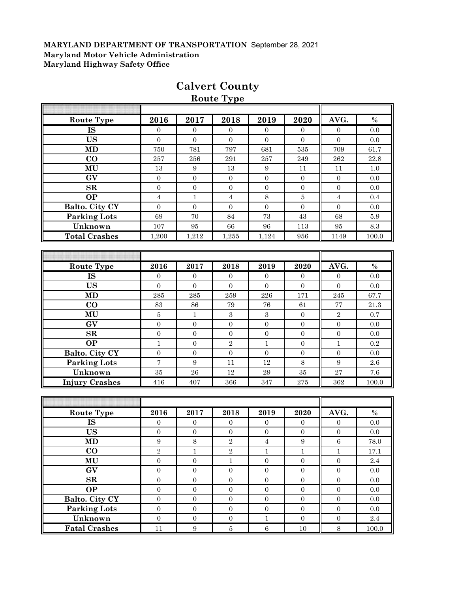| <b>Route Type</b>     |                  |                  |                  |                  |                  |                  |                 |  |  |  |
|-----------------------|------------------|------------------|------------------|------------------|------------------|------------------|-----------------|--|--|--|
|                       |                  |                  |                  |                  |                  |                  |                 |  |  |  |
| Route Type            | 2016             | 2017             | 2018             | 2019             | 2020             | AVG.             | $\%$            |  |  |  |
| <b>IS</b>             | $\overline{0}$   | $\overline{0}$   | $\overline{0}$   | $\overline{0}$   | $\overline{0}$   | $\overline{0}$   | 0.0             |  |  |  |
| <b>US</b>             | $\overline{0}$   | $\Omega$         | $\boldsymbol{0}$ | $\mathbf{0}$     | $\Omega$         | $\mathbf{0}$     | 0.0             |  |  |  |
| MD                    | 750              | 781              | 797              | 681              | 535              | 709              | 61.7            |  |  |  |
| CO                    | 257              | $256\,$          | $\bf 291$        | 257              | 249              | 262              | 22.8            |  |  |  |
| MU                    | 13               | $\boldsymbol{9}$ | $13\,$           | $\boldsymbol{9}$ | 11               | 11               | $1.0\,$         |  |  |  |
| GV                    | $\boldsymbol{0}$ | $\boldsymbol{0}$ | $\boldsymbol{0}$ | $\boldsymbol{0}$ | $\mathbf{0}$     | $\boldsymbol{0}$ | 0.0             |  |  |  |
| SR                    | $\boldsymbol{0}$ | $\boldsymbol{0}$ | $\boldsymbol{0}$ | $\boldsymbol{0}$ | $\overline{0}$   | $\mathbf{0}$     | 0.0             |  |  |  |
| <b>OP</b>             | $\overline{4}$   | $\mathbf{1}$     | $\overline{4}$   | 8                | $\bf 5$          | $\sqrt{4}$       | 0.4             |  |  |  |
| Balto. City CY        | $\mathbf{0}$     | $\mathbf{0}$     | $\mathbf{0}$     | $\mathbf{0}$     | $\mathbf{0}$     | $\boldsymbol{0}$ | 0.0             |  |  |  |
| <b>Parking Lots</b>   | 69               | 70               | $\bf 84$         | 73               | 43               | 68               | 5.9             |  |  |  |
| Unknown               | 107              | 95               | 66               | 96               | 113              | 95               | $\!\!\!\!\!8.3$ |  |  |  |
| <b>Total Crashes</b>  | 1,200            | 1,212            | 1,255            | 1,124            | 956              | 1149             | 100.0           |  |  |  |
|                       |                  |                  |                  |                  |                  |                  |                 |  |  |  |
|                       |                  |                  |                  |                  |                  |                  |                 |  |  |  |
| Route Type            | 2016             | 2017             | 2018             | 2019             | 2020             | AVG.             | $\%$            |  |  |  |
| <b>IS</b>             | 0                | $\boldsymbol{0}$ | $\mathbf{0}$     | $\mathbf{0}$     | $\overline{0}$   | $\mathbf{0}$     | 0.0             |  |  |  |
| <b>US</b>             | $\overline{0}$   | $\boldsymbol{0}$ | $\boldsymbol{0}$ | $\Omega$         | $\Omega$         | $\Omega$         | 0.0             |  |  |  |
| MD                    | 285              | 285              | 259              | 226              | 171              | 245              | 67.7            |  |  |  |
| $\bf CO$              | 83               | 86               | 79               | 76               | 61               | 77               | $21.3\,$        |  |  |  |
| MU                    | $\overline{5}$   | $\mathbf{1}$     | $\boldsymbol{3}$ | $\boldsymbol{3}$ | $\overline{0}$   | $\sqrt{2}$       | 0.7             |  |  |  |
| GV                    | $\overline{0}$   | $\boldsymbol{0}$ | $\mathbf 0$      | $\boldsymbol{0}$ | $\boldsymbol{0}$ | $\overline{0}$   | 0.0             |  |  |  |
| $\mathbf{SR}$         | $\boldsymbol{0}$ | $\boldsymbol{0}$ | $\boldsymbol{0}$ | $\boldsymbol{0}$ | $\overline{0}$   | $\boldsymbol{0}$ | 0.0             |  |  |  |
| <b>OP</b>             | $\mathbf{1}$     | $\boldsymbol{0}$ | $\overline{2}$   | $\mathbf{1}$     | $\overline{0}$   | $\mathbf{1}$     | 0.2             |  |  |  |
| Balto. City CY        | $\boldsymbol{0}$ | $\boldsymbol{0}$ | $\boldsymbol{0}$ | $\boldsymbol{0}$ | $\boldsymbol{0}$ | $\boldsymbol{0}$ | 0.0             |  |  |  |
| <b>Parking Lots</b>   | $\overline{7}$   | $\boldsymbol{9}$ | 11               | 12               | 8                | $\boldsymbol{9}$ | 2.6             |  |  |  |
| Unknown               | 35               | 26               | 12               | 29               | $35\,$           | 27               | $7.6\,$         |  |  |  |
| <b>Injury Crashes</b> | 416              | 407              | 366              | 347              | 275              | 362              | 100.0           |  |  |  |
|                       |                  |                  |                  |                  |                  |                  |                 |  |  |  |
|                       |                  |                  |                  |                  |                  |                  |                 |  |  |  |
| <b>Route Type</b>     | 2016             | 2017             | 2018             | 2019             | 2020             | AVG.             | $\%$            |  |  |  |
| <b>IS</b>             | $\mathbf{0}$     | $\boldsymbol{0}$ | $\boldsymbol{0}$ | $\mathbf{0}$     | $\boldsymbol{0}$ | $\boldsymbol{0}$ | $0.0\,$         |  |  |  |
| <b>US</b>             | $\mathbf{0}$     | $\mathbf{0}$     | $\mathbf{0}$     | $\mathbf{0}$     | $\mathbf{0}$     | $\mathbf{0}$     | 0.0             |  |  |  |
| <b>MD</b>             | $\boldsymbol{9}$ | $\,8\,$          | $\overline{2}$   | $\overline{4}$   | 9                | $\,6\,$          | 78.0            |  |  |  |
| $\bf CO$              | $\overline{2}$   | $\,1\,$          | $\,2$            | $1\,$            | $\,1\,$          | $1\,$            | 17.1            |  |  |  |
| $\mathbf{MU}$         | $\boldsymbol{0}$ | $\boldsymbol{0}$ | $\mathbf{1}$     | $\boldsymbol{0}$ | $\boldsymbol{0}$ | $\boldsymbol{0}$ | $2.4\,$         |  |  |  |
| GV                    | $\overline{0}$   | $\boldsymbol{0}$ | $\boldsymbol{0}$ | $\boldsymbol{0}$ | $\boldsymbol{0}$ | $\boldsymbol{0}$ | $0.0\,$         |  |  |  |
| ${\bf SR}$            | $\boldsymbol{0}$ | $\boldsymbol{0}$ | $\boldsymbol{0}$ | $\boldsymbol{0}$ | $\boldsymbol{0}$ | $\boldsymbol{0}$ | 0.0             |  |  |  |
| <b>OP</b>             | $\boldsymbol{0}$ | $\boldsymbol{0}$ | $\boldsymbol{0}$ | $\boldsymbol{0}$ | $\boldsymbol{0}$ | $\boldsymbol{0}$ | $0.0\,$         |  |  |  |
| Balto. City CY        | $\boldsymbol{0}$ | $\boldsymbol{0}$ | $\boldsymbol{0}$ | $\boldsymbol{0}$ | $\boldsymbol{0}$ | $\boldsymbol{0}$ | $0.0\,$         |  |  |  |
| Parking Lots          | $\boldsymbol{0}$ | $\boldsymbol{0}$ | $\boldsymbol{0}$ | $\boldsymbol{0}$ | $\mathbf{0}$     | $\boldsymbol{0}$ | $0.0\,$         |  |  |  |
| Unknown               | $\boldsymbol{0}$ | $\boldsymbol{0}$ | $\boldsymbol{0}$ | $\,1$            | $\boldsymbol{0}$ | $\boldsymbol{0}$ | $2.4\,$         |  |  |  |
| <b>Fatal Crashes</b>  | $11\,$           | $\boldsymbol{9}$ | $\bf 5$          | $\,6\,$          | $10\,$           | $8\,$            | 100.0           |  |  |  |

# **Calvert County**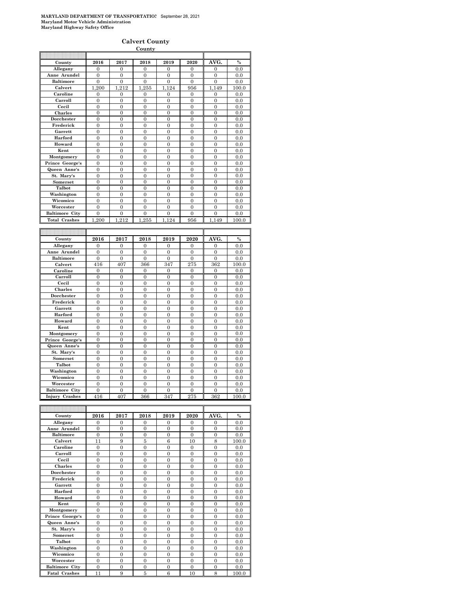#### **Calvert County**

|                       |                            |                            | County                     |                            |                  |                            |               |
|-----------------------|----------------------------|----------------------------|----------------------------|----------------------------|------------------|----------------------------|---------------|
|                       |                            |                            |                            |                            |                  |                            |               |
| County                | 2016                       | 2017                       | 2018                       | 2019                       | 2020             | AVG.                       | $\frac{0}{0}$ |
| Allegany              | $\overline{0}$             | $\overline{0}$             | $\overline{0}$             | $\overline{0}$             | $\overline{0}$   | $\overline{0}$             | 0.0           |
| Anne Arundel          | 0                          | 0                          | $\bf{0}$                   | 0                          | 0                | 0                          | 0.0           |
| <b>Baltimore</b>      | $\overline{0}$             | $\overline{0}$             | $\overline{0}$             | $\overline{0}$             | $\overline{0}$   | $\overline{0}$             | 0.0           |
| Calvert               | 1,200                      | 1,212                      | 1,255                      | 1,124                      | 956              | 1,149                      | 100.0         |
| Caroline              | 0                          | 0                          | $\mathbf{0}$               | 0                          | $\mathbf{0}$     | 0                          | 0.0           |
| Carroll               | $\overline{0}$             | $\overline{0}$             | $\overline{0}$             | $\overline{0}$             | $\overline{0}$   | $\overline{0}$             | 0.0           |
| Cecil                 | $\overline{0}$             | $\overline{0}$             | $\overline{0}$             | $\overline{0}$             | $\overline{0}$   | $\mathbf{0}$               | 0.0           |
| <b>Charles</b>        | $\overline{0}$             | $\overline{0}$             | $\overline{0}$             | $\overline{0}$             | $\overline{0}$   | $\overline{0}$             | 0.0           |
| Dorchester            | 0                          | 0                          | $\overline{0}$             | $\overline{0}$             | $\overline{0}$   | $\mathbf{0}$               | 0.0           |
| Frederick             | $\overline{0}$             | $\overline{0}$             | $\overline{0}$             | $\overline{0}$             | $\overline{0}$   | $\overline{0}$             | 0.0           |
| Garrett               | $\overline{0}$             | $\overline{0}$             | $\overline{0}$             | $\overline{0}$             | $\overline{0}$   | $\overline{0}$             |               |
|                       | $\overline{0}$             |                            | $\overline{0}$             | $\overline{0}$             |                  | $\overline{0}$             | $0.0\,$       |
| Harford               |                            | $\mathbf{0}$               |                            |                            | $\overline{0}$   |                            | 0.0           |
| Howard                | $\overline{0}$             | $\overline{0}$             | $\overline{0}$             | $\overline{0}$             | $\overline{0}$   | $\overline{0}$             | 0.0           |
| Kent                  | $\overline{0}$             | 0                          | $\overline{0}$             | 0                          | $\boldsymbol{0}$ | $\mathbf{0}$               | 0.0           |
| Montgomery            | $\boldsymbol{0}$           | 0                          | $\overline{0}$             | $\mathbf{0}$               | $\mathbf{0}$     | $\mathbf{0}$               | 0.0           |
| Prince George's       | $\overline{0}$             | 0                          | $\mathbf{0}$               | 0                          | 0                | $\overline{0}$             | 0.0           |
| Queen Anne's          | $\overline{0}$             | $\overline{0}$             | $\overline{0}$             | $\overline{0}$             | $\overline{0}$   | $\overline{0}$             | 0.0           |
| St. Mary's            | $\boldsymbol{0}$           | 0                          | $\mathbf{0}$               | $\mathbf{0}$               | 0                | $\boldsymbol{0}$           | 0.0           |
| Somerset              | $\overline{0}$             | 0                          | $\overline{0}$             | $\overline{0}$             | $\overline{0}$   | $\overline{0}$             | 0.0           |
| Talbot                | $\overline{0}$             | 0                          | $\mathbf{0}$               | $\mathbf{0}$               | $\mathbf{0}$     | $\mathbf{0}$               | 0.0           |
| Washington            | $\overline{0}$             | $\overline{0}$             | $\overline{0}$             | $\overline{0}$             | $\overline{0}$   | $\overline{0}$             | 0.0           |
| Wicomico              | $\boldsymbol{0}$           | 0                          | $\mathbf{0}$               | $\mathbf{0}$               | $\mathbf{0}$     | $\boldsymbol{0}$           | 0.0           |
| Worcester             | $\overline{0}$             | 0                          | $\overline{0}$             | $\overline{0}$             | $\overline{0}$   | $\overline{0}$             | 0.0           |
| <b>Baltimore City</b> | $\boldsymbol{0}$           | 0                          | $\mathbf{0}$               | $\mathbf{0}$               | 0                | $\boldsymbol{0}$           | 0.0           |
| <b>Total Crashes</b>  | 200<br>1                   | 212<br>1                   | 255<br>1                   | 124<br>1                   | 956              | 149<br>1                   | 100.0         |
|                       |                            |                            |                            |                            |                  |                            |               |
|                       |                            |                            |                            |                            |                  |                            |               |
|                       |                            |                            |                            |                            |                  |                            |               |
|                       | 2016                       | 2017                       | 2018                       | 2019                       | 2020             | AVG.                       | $\%$          |
| County                | $\Omega$                   | 0                          | $\Omega$                   | $\overline{0}$             | 0                | $\Omega$                   | 0.0           |
| Allegany              |                            |                            |                            |                            |                  |                            |               |
| Anne Arundel          | $\overline{0}$<br>$\theta$ | $\overline{0}$<br>$\theta$ | $\overline{0}$<br>$\theta$ | $\overline{0}$<br>$\theta$ | $\overline{0}$   | $\overline{0}$<br>$\theta$ | 0.0           |
| <b>Baltimore</b>      |                            |                            |                            |                            | $\overline{0}$   |                            | 0.0           |
| Calvert               | 416                        | 407                        | 366                        | 347                        | 275              | 362                        | 100.0         |
| Caroline              | $\theta$                   | $\overline{0}$             | $\overline{0}$             | $\overline{0}$             | $\overline{0}$   | $\overline{0}$             | 0.0           |
| Carroll               | $\overline{0}$             | $\overline{0}$             | $\overline{0}$             | $\boldsymbol{0}$           | $\overline{0}$   | $\overline{0}$             | 0.0           |
| Cecil                 | $\theta$                   | $\overline{0}$             | $\theta$                   | $\overline{0}$             | $\overline{0}$   | $\theta$                   | 0.0           |
| Charles               | $\theta$                   | $\theta$                   | $\theta$                   | $\theta$                   | $\theta$         | $\theta$                   | 0.0           |
| Dorchester            | $\overline{0}$             | 0                          | $\overline{0}$             | $\overline{0}$             | $\overline{0}$   | $\overline{0}$             | 0.0           |
| Frederick             | $\theta$                   | $\theta$                   | $\theta$                   | $\theta$                   | $\theta$         | $\theta$                   | 0.0           |
| Garrett               | $\overline{0}$             | $\overline{0}$             | $\overline{0}$             | $\overline{0}$             | $\overline{0}$   | $\overline{0}$             | 0.0           |
| Harford               | $\theta$                   | $\theta$                   | $\theta$                   | $\theta$                   | $\theta$         | $\theta$                   | 0.0           |
| Howard                | 0                          | $\overline{0}$             | $\overline{0}$             | $\overline{0}$             | $\overline{0}$   | $\overline{0}$             | 0.0           |
| Kent                  | $\overline{0}$             | $\overline{0}$             | $\overline{0}$             | $\overline{0}$             | $\overline{0}$   | $\overline{0}$             | 0.0           |
| Montgomery            | $\overline{0}$             | $\overline{0}$             | $\overline{0}$             | $\overline{0}$             | $\overline{0}$   | $\overline{0}$             | 0.0           |
| Prince George's       | $\overline{0}$             | $\overline{0}$             | $\overline{0}$             | $\overline{0}$             | $\overline{0}$   | $\overline{0}$             | 0.0           |
| Queen Anne's          | $\overline{0}$             | $\overline{0}$             | $\overline{0}$             | $\overline{0}$             | $\overline{0}$   | $\overline{0}$             | 0.0           |
| St. Mary's            | $\overline{0}$             | $\overline{0}$             | $\overline{0}$             | $\overline{0}$             | $\overline{0}$   | $\overline{0}$             | 0.0           |
| Somerset              | $\overline{0}$             | $\overline{0}$             | $\overline{0}$             | $\mathbf{0}$               | $\mathbf{0}$     | $\mathbf{0}$               | 0.0           |
| Talbot                | $\overline{0}$             | $\overline{0}$             | $\overline{0}$             | $\overline{0}$             | $\overline{0}$   | $\overline{0}$             | 0.0           |
| Washington            | $\mathbf{0}$               | $\mathbf{0}$               | $\overline{0}$             | $\overline{0}$             | $\mathbf{0}$     | $\mathbf{0}$               | 0.0           |
| Wicomico              | $\overline{0}$             | $\overline{0}$             | $\overline{0}$             | $\overline{0}$             | $\overline{0}$   | $\overline{0}$             | 0.0           |
| Worcester             | $\overline{0}$             | $\overline{0}$             | $\overline{0}$             | $\overline{0}$             | $\theta$         | $\overline{0}$             | 0.0           |
| <b>Baltimore City</b> | $\overline{0}$             | $\overline{0}$             | $\overline{0}$             | $\overline{0}$             | $\overline{0}$   | $\overline{0}$             | 0.0           |
| Injury Crashes        | 416                        | 407                        | 366                        | 347                        | 275              | 362                        | 100.0         |
|                       |                            |                            |                            |                            |                  |                            |               |
|                       |                            |                            |                            |                            |                  |                            |               |
| County                | 2016                       | 2017                       | 2018                       | 2019                       | 2020             | AVG.                       | $\%$          |

| County                | 2016           | 2017           | 2018           | 2019           | 2020           | AVG.           | $\%$  |
|-----------------------|----------------|----------------|----------------|----------------|----------------|----------------|-------|
| Allegany              | $\Omega$       | $\Omega$       | $\Omega$       | $\Omega$       | $\Omega$       | $\theta$       | 0.0   |
| Anne Arundel          | $\overline{0}$ | $\theta$       | $\theta$       | $\overline{0}$ | $\overline{0}$ | $\overline{0}$ | 0.0   |
| <b>Baltimore</b>      | $\mathbf{0}$   | $\Omega$       | $\Omega$       | $\Omega$       | $\Omega$       | $\overline{0}$ | 0.0   |
| Calvert               | 11             | 9              | 5              | 6              | 10             | 8              | 100.0 |
| Caroline              | $\overline{0}$ | $\theta$       | $\theta$       | $\theta$       | $\theta$       | $\overline{0}$ | 0.0   |
| Carroll               | $\overline{0}$ | $\theta$       | $\theta$       | $\Omega$       | $\theta$       | $\overline{0}$ | 0.0   |
| Cecil                 | $\overline{0}$ | $\Omega$       | $\Omega$       | $\Omega$       | $\overline{0}$ | $\overline{0}$ | 0.0   |
| <b>Charles</b>        | $\overline{0}$ | $\Omega$       | $\theta$       | $\theta$       | $\theta$       | $\overline{0}$ | 0.0   |
| Dorchester            | $\overline{0}$ | $\overline{0}$ | $\Omega$       | $\overline{0}$ | $\overline{0}$ | $\overline{0}$ | 0.0   |
| Frederick             | $\overline{0}$ | $\theta$       | $\theta$       | $\Omega$       | $\theta$       | $\overline{0}$ | 0.0   |
| Garrett               | $\theta$       | $\theta$       | $\theta$       | $\Omega$       | $\theta$       | $\overline{0}$ | 0.0   |
| Harford               | $\overline{0}$ | $\Omega$       | $\theta$       | $\Omega$       | $\overline{0}$ | $\overline{0}$ | 0.0   |
| Howard                | $\theta$       | $\Omega$       | $\Omega$       | $\Omega$       | $\theta$       | $\overline{0}$ | 0.0   |
| Kent                  | $\Omega$       | $\Omega$       | $\Omega$       | $\Omega$       | $\Omega$       | $\theta$       | 0.0   |
| Montgomery            | $\overline{0}$ | $\overline{0}$ | $\overline{0}$ | $\overline{0}$ | $\overline{0}$ | $\overline{0}$ | 0.0   |
| Prince George's       | $\overline{0}$ | $\Omega$       | $\Omega$       | $\Omega$       | $\overline{0}$ | $\overline{0}$ | 0.0   |
| Queen Anne's          | $\overline{0}$ | $\theta$       | $\theta$       | $\theta$       | $\theta$       | $\overline{0}$ | 0.0   |
| St. Mary's            | $\mathbf{0}$   | $\Omega$       | $\overline{0}$ | $\mathbf{0}$   | $\overline{0}$ | $\overline{0}$ | 0.0   |
| Somerset              | $\overline{0}$ | $\theta$       | $\theta$       | $\theta$       | $\theta$       | $\overline{0}$ | 0.0   |
| Talbot                | $\theta$       | $\Omega$       | $\Omega$       | $\Omega$       | $\theta$       | $\theta$       | 0.0   |
| Washington            | $\overline{0}$ | $\mathbf{0}$   | $\overline{0}$ | $\overline{0}$ | $\overline{0}$ | $\overline{0}$ | 0.0   |
| Wicomico              | $\overline{0}$ | $\overline{0}$ | $\overline{0}$ | $\overline{0}$ | $\overline{0}$ | $\overline{0}$ | 0.0   |
| Worcester             | $\theta$       | $\theta$       | $\theta$       | $\Omega$       | $\Omega$       | $\overline{0}$ | 0.0   |
| <b>Baltimore City</b> | $\overline{0}$ | $\overline{0}$ | $\overline{0}$ | $\overline{0}$ | $\overline{0}$ | $\overline{0}$ | 0.0   |
| <b>Fatal Crashes</b>  | 11             | 9              | 5              | 6              | 10             | 8              | 100.0 |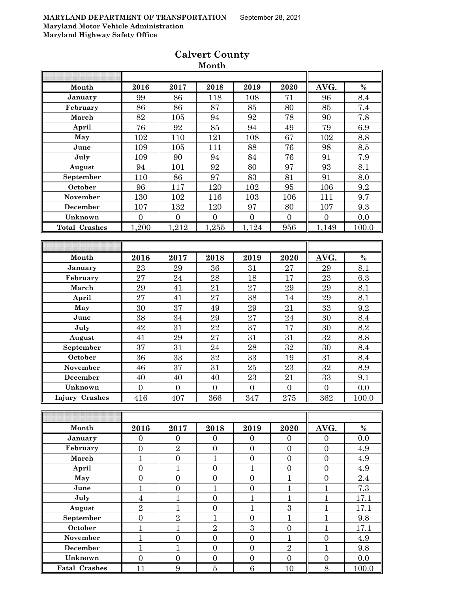| Month                 | 2016             | 2017             | 2018             | 2019             | 2020             | AVG.             | $\%$  |
|-----------------------|------------------|------------------|------------------|------------------|------------------|------------------|-------|
| January               | 99               | 86               | 118              | 108              | 71               | 96               | 8.4   |
| February              | 86               | 86               | 87               | 85               | 80               | 85               | 7.4   |
| March                 | 82               | 105              | 94               | 92               | 78               | 90               | 7.8   |
| April                 | 76               | 92               | 85               | 94               | 49               | 79               | 6.9   |
| May                   | 102              | 110              | 121              | 108              | 67               | 102              | 8.8   |
| June                  | 109              | 105              | 111              | 88               | 76               | 98               | 8.5   |
| July                  | 109              | 90               | 94               | 84               | 76               | 91               | 7.9   |
| August                | 94               | 101              | 92               | 80               | 97               | 93               | 8.1   |
| September             | 110              | 86               | 97               | 83               | 81               | 91               | 8.0   |
| October               | 96               | 117              | 120              | 102              | 95               | 106              | 9.2   |
| November              | 130              | 102              | 116              | 103              | 106              | 111              | 9.7   |
| December              | 107              | 132              | 120              | 97               | 80               | 107              | 9.3   |
| Unknown               | $\Omega$         | $\Omega$         | $\overline{0}$   | $\overline{0}$   | $\Omega$         | $\Omega$         | 0.0   |
| <b>Total Crashes</b>  | 1,200            | 1,212            | 1,255            | 1,124            | 956              | 1,149            | 100.0 |
|                       |                  |                  |                  |                  |                  |                  |       |
|                       |                  |                  |                  |                  |                  |                  |       |
| Month                 | 2016             | 2017             | 2018             | 2019             | 2020             | AVG.             | $\%$  |
| January               | 23               | 29               | 36               | 31               | 27               | 29               | 8.1   |
| February              | 27               | 24               | 28               | 18               | 17               | 23               | 6.3   |
| March                 | 29               | 41               | 21               | 27               | 29               | 29               | 8.1   |
| April                 | 27               | 41               | 27               | 38               | 14               | 29               | 8.1   |
| May                   | 30               | 37               | 49               | 29               | 21               | 33               | 9.2   |
| June                  | 38               | 34               | 29               | 27               | 24               | 30               | 8.4   |
| July                  | 42               | 31               | 22               | 37               | 17               | 30               | 8.2   |
| August                | 41               | 29               | 27               | 31               | 31               | 32               | 8.8   |
| September             | 37               | 31               | 24               | 28               | 32               | 30               | 8.4   |
| October               | 36               | 33               | 32               | 33               | 19               | 31               | 8.4   |
| November              | 46               | 37               | 31               | 25               | 23               | 32               | 8.9   |
| <b>December</b>       | 40               | 40               | 40               | 23               | 21               | 33               | 9.1   |
| Unknown               | $\overline{0}$   | $\overline{0}$   | $\overline{0}$   | $\mathbf{0}$     | $\overline{0}$   | $\overline{0}$   | 0.0   |
| <b>Injury Crashes</b> | 416              | 407              | 366              | 347              | 275              | 362              | 100.0 |
|                       |                  |                  |                  |                  |                  |                  |       |
|                       |                  |                  |                  |                  |                  |                  |       |
| Month                 | 2016             | 2017             | 2018             | 2019             | 2020             | AVG.             | $\%$  |
| January               | $\overline{0}$   | $\boldsymbol{0}$ | $\boldsymbol{0}$ | $\overline{0}$   | $\overline{0}$   | $\overline{0}$   | 0.0   |
| February              | $\boldsymbol{0}$ | $\overline{2}$   | $\boldsymbol{0}$ | $\overline{0}$   | $\overline{0}$   | $\overline{0}$   | 4.9   |
| March                 | $\mathbf{1}$     | $\boldsymbol{0}$ | $\mathbf{1}$     | $\boldsymbol{0}$ | $\boldsymbol{0}$ | $\overline{0}$   | 4.9   |
|                       |                  |                  |                  |                  |                  |                  |       |
| April                 | $\boldsymbol{0}$ | $\mathbf{1}$     | $\boldsymbol{0}$ | $\mathbf{1}$     | $\boldsymbol{0}$ | $\boldsymbol{0}$ | 4.9   |
| May                   | $\boldsymbol{0}$ | $\boldsymbol{0}$ | $\boldsymbol{0}$ | $\boldsymbol{0}$ | $\mathbf{1}$     | $\overline{0}$   | 2.4   |
| June                  | $\mathbf{1}$     | $\boldsymbol{0}$ | $\mathbf{1}$     | $\boldsymbol{0}$ | $\mathbf{1}$     | $\mathbf{1}$     | 7.3   |
| July                  | $\overline{4}$   | $\mathbf{1}$     | $\overline{0}$   | $\mathbf{1}$     | $\mathbf{1}$     | $\mathbf{1}$     | 17.1  |
| August                | $\overline{2}$   | $\mathbf{1}$     | $\overline{0}$   | $\overline{1}$   | 3                | $\mathbf{1}$     | 17.1  |
| September             | $\overline{0}$   | $\overline{2}$   | $\mathbf{1}$     | $\boldsymbol{0}$ | $\overline{1}$   | $\mathbf{1}$     | 9.8   |
| October               | $\mathbf{1}$     | $\mathbf{1}$     | $\overline{2}$   | $\boldsymbol{3}$ | $\boldsymbol{0}$ | $\mathbf{1}$     | 17.1  |
| November              | $\mathbf{1}$     | $\boldsymbol{0}$ | $\boldsymbol{0}$ | $\boldsymbol{0}$ | $\mathbf{1}$     | $\overline{0}$   | 4.9   |
| <b>December</b>       | $\mathbf{1}$     | $\mathbf{1}$     | $\boldsymbol{0}$ | $\boldsymbol{0}$ | $\overline{2}$   | $\mathbf{1}$     | 9.8   |
| Unknown               | $\boldsymbol{0}$ | $\boldsymbol{0}$ | $\boldsymbol{0}$ | $\boldsymbol{0}$ | $\boldsymbol{0}$ | $\boldsymbol{0}$ | 0.0   |
| <b>Fatal Crashes</b>  | 11               | 9                | $\overline{5}$   | $6\phantom{1}6$  | 10               | 8                | 100.0 |

# **Calvert County Month**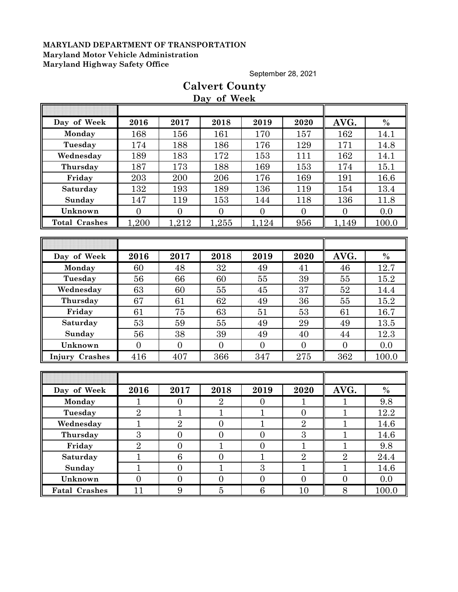September 28, 2021

# **Calvert County Day of Week**

| Day of Week          | 2016           | 2017             | 2018             | 2019             | 2020           | AVG.             | $\frac{0}{0}$ |
|----------------------|----------------|------------------|------------------|------------------|----------------|------------------|---------------|
| Monday               | 168            | 156              | 161              | 170              | 157            | 162              | 14.1          |
| Tuesday              | 174            | 188              | 186              | 176              | 129            | 171              | 14.8          |
| Wednesday            | 189            | 183              | 172              | 153              | 111            | 162              | 14.1          |
| Thursday             | 187            | 173              | 188              | 169              | 153            | 174              | 15.1          |
| Friday               | 203            | 200              | 206              | 176              | 169            | 191              | 16.6          |
| Saturday             | 132            | 193              | 189              | 136              | 119            | 154              | 13.4          |
| Sunday               | 147            | 119              | 153              | 144              | 118            | 136              | 11.8          |
| Unknown              | $\overline{0}$ | $\overline{0}$   | $\overline{0}$   | $\overline{0}$   | $\overline{0}$ | $\overline{0}$   | 0.0           |
| <b>Total Crashes</b> | 1,200          | 1,212            | 1,255            | 1,124            | 956            | 1,149            | 100.0         |
|                      |                |                  |                  |                  |                |                  |               |
|                      |                |                  |                  |                  |                |                  |               |
| Day of Week          | 2016           | 2017             | 2018             | 2019             | 2020           | AVG.             | $\%$          |
| Monday               | 60             | 48               | 32               | 49               | 41             | 46               | 12.7          |
| Tuesday              | 56             | 66               | 60               | 55               | 39             | 55               | 15.2          |
| Wednesday            | 63             | 60               | 55               | 45               | 37             | 52               | 14.4          |
| Thursday             | 67             | 61               | 62               | 49               | 36             | 55               | 15.2          |
| Friday               | 61             | 75               | 63               | 51               | 53             | 61               | 16.7          |
| Saturday             | 53             | 59               | 55               | 49               | 29             | 49               | 13.5          |
| Sunday               | 56             | 38               | 39               | 49               | 40             | 44               | 12.3          |
| Unknown              | $\overline{0}$ | $\overline{0}$   | $\overline{0}$   | $\overline{0}$   | $\overline{0}$ | $\overline{0}$   | 0.0           |
| Injury Crashes       | 416            | 407              | 366              | 347              | 275            | 362              | 100.0         |
|                      |                |                  |                  |                  |                |                  |               |
|                      |                |                  |                  |                  |                |                  |               |
| Day of Week          | 2016           | 2017             | 2018             | 2019             | 2020           | AVG.             | $\frac{0}{0}$ |
| Monday               | $\mathbf{1}$   | $\boldsymbol{0}$ | $\overline{2}$   | $\overline{0}$   | 1              | $\mathbf{1}$     | 9.8           |
| Tuesday              | $\overline{2}$ | $\mathbf{1}$     | $\mathbf{1}$     | $\overline{1}$   | $\overline{0}$ | $\mathbf{1}$     | 12.2          |
| Wednesday            | $\mathbf{1}$   | $\overline{2}$   | $\overline{0}$   | $\mathbf{1}$     | $\overline{2}$ | $\overline{1}$   | 14.6          |
| Thursday             | 3              | $\overline{0}$   | $\overline{0}$   | $\overline{0}$   | $\overline{3}$ | $\mathbf{1}$     | 14.6          |
| Friday               | $\sqrt{2}$     | $\boldsymbol{0}$ | $\mathbf{1}$     | $\boldsymbol{0}$ | $\mathbf{1}$   | $\mathbf{1}$     | 9.8           |
| Saturday             | $\mathbf{1}$   | 6                | $\boldsymbol{0}$ | $\mathbf{1}$     | $\overline{2}$ | $\overline{2}$   | 24.4          |
| Sunday               | $\mathbf{1}$   | $\boldsymbol{0}$ | $\mathbf{1}$     | $\boldsymbol{3}$ | $\mathbf{1}$   | $\mathbf{1}$     | 14.6          |
| Unknown              | $\overline{0}$ | $\boldsymbol{0}$ | $\boldsymbol{0}$ | $\overline{0}$   | $\overline{0}$ | $\boldsymbol{0}$ | 0.0           |
| <b>Fatal Crashes</b> | 11             | $9\phantom{.0}$  | $\overline{5}$   | 6                | 10             | $8\,$            | 100.0         |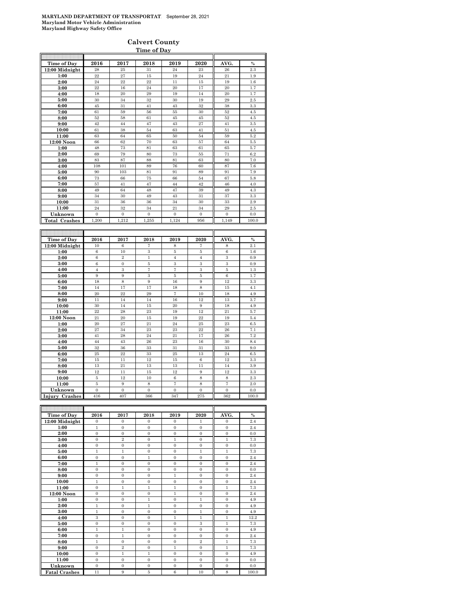#### **Calvert County Time of Day**

| Time of Day               | 2016                  | 2017                  | 2018                  | 2019                  | 2020                  | AVG.                  | $\frac{0}{0}$ |
|---------------------------|-----------------------|-----------------------|-----------------------|-----------------------|-----------------------|-----------------------|---------------|
| 12:00 Midnight            | 28                    | 25                    | 31                    | 24                    | 23                    | $\bf{26}$             | 2.3           |
| 1:00                      | 22                    | 27                    | 15                    | 19                    | 24                    | 21                    | 1.9           |
| 2:00                      | 24                    | 22                    | 22                    | 11                    | 15                    | 19                    | 1.6           |
| 3:00                      | 22                    | 16                    | 24                    | 20                    | 17                    | 20                    | 1.7           |
| 4:00                      | 18                    | 20                    | 29                    | 19                    | 14                    | 20                    | 1.7           |
| 5:00                      | 30                    | 34                    | 32                    | 30                    | 19                    | 29                    | 2.5           |
| 6:00                      | 45                    | 31                    | 41                    | 43                    | 32                    | 38                    | 3.3           |
|                           | 61                    | 59                    | 56                    | 55                    | 30                    | 52                    | 4.5           |
| 7:00                      | 52                    | 58                    | 61                    | 45                    | 45                    | 52                    | 4.5           |
| 8:00                      | 42                    | 44                    | 47                    | 43                    | 27                    | 41                    |               |
| 9:00                      | 61                    | 38                    | 54                    | 63                    | 41                    | 51                    | 3.5<br>4.5    |
| 10:00                     |                       |                       |                       |                       |                       |                       |               |
| 11:00<br>12:00 Noon       | 63<br>66              | 64<br>62              | 65<br>70              | 50<br>63              | 54<br>57              | 59<br>64              | 5.2<br>5.5    |
| 1:00                      | 48                    | 73                    | 81                    | 63                    | 61                    | 65                    | 5.7           |
|                           | 69                    | 79                    | 80                    | 73                    | 55                    | 71                    |               |
| 2:00<br>3:00              | 83                    | 87                    | 88                    | 81                    | 63                    | 80                    | 6.2<br>7.0    |
|                           | 108                   | 101                   | 89                    | 76                    | 60                    | 87                    |               |
| 4:00                      | 90                    | 103                   | 81                    | 91                    | 89                    | 91                    | 7.6<br>7.9    |
| 5:00                      | 73                    | 66                    | 75                    | 66                    | 54                    | 67                    |               |
| 6:00                      | 57                    | 41                    | 47                    | 44                    | 42                    | 46                    | 5.8<br>4.0    |
| 7:00                      |                       |                       |                       |                       |                       |                       |               |
| 8:00                      | 49<br>34              | 64                    | 48<br>49              | 47<br>43              | 39                    | 49<br>37              | 4.3<br>3.3    |
| 9:00                      | 31                    | 30<br>36              | 36                    |                       | 31<br>30              | 33                    | 2.9           |
| 10:00                     |                       |                       |                       | 34                    |                       | 29                    |               |
| 11:00                     | 24                    | 32                    | 34                    | 21                    | 34                    |                       | 2.5           |
| Unknown                   | $\mathbf{0}$          | $\mathbf{0}$          | $\mathbf{0}$          | $\boldsymbol{0}$      | $\mathbf{0}$          | $\mathbf{0}$          | 0.0           |
| <b>Total Crashes</b>      | 1,200                 | 1,212                 | 1,255                 | 1,124                 | 956                   | 1,149                 | 100.0         |
|                           |                       |                       |                       |                       |                       |                       |               |
|                           |                       |                       |                       |                       |                       |                       |               |
|                           |                       |                       |                       |                       |                       |                       |               |
| Time of Day               | 2016                  | 2017                  | 2018                  | 2019                  | 2020                  | AVG.                  | $\%$          |
| 12:00 Midnight            | 10                    | $\,6$                 | 7                     | 8                     | 7                     | 8                     | 2.1           |
| 1:00                      | 6                     | 10                    | 3                     | 5                     | 5                     | 6                     | 1.6           |
| 2:00                      | 6                     | $\overline{2}$        | $\mathbf{1}$          | $\overline{4}$        | $\overline{4}$        | 3                     | 0.9           |
| 3:00                      | 6                     | $\mathbf{0}$          | 5                     | 3                     | 3                     | 3                     | 0.9           |
| 4:00                      | $\overline{4}$        | 3                     | $\overline{7}$        | $\overline{7}$        | 3                     | 5                     | 1.3           |
| 5:00                      | 9                     | 9                     | 3                     | $\bf 5$               | $\bf 5$               | $\,6$                 | 1.7           |
| 6:00                      | 18                    | 8                     | $\boldsymbol{9}$      | $16\,$                | $\boldsymbol{9}$      | 12                    | 3.3           |
| 7:00                      | 14                    | 17                    | 17                    | 18                    | 8                     | 15                    | 4.1           |
| 8:00                      | 20                    | $^{22}$               | 29                    | $\scriptstyle{7}$     | 10                    | 18                    | 4.9           |
| 9:00                      | 11                    | 14                    | 14                    | 16                    | 12                    | 13                    | 3.7           |
| 10:00                     | 30                    | 14                    | 15                    | 20                    | 9                     | 18                    | 4.9           |
| 11:00                     | 22                    | 28                    | 23                    | 19                    | 12                    | 21                    | 5.7           |
| 12:00 Noon                | 21                    | 20                    | 15                    | 19                    | $^{22}$               | 19                    | 5.4           |
| 1:00                      | 20                    | 27                    | 21                    | 24                    | 25                    | 23                    | 6.5           |
| 2:00                      | 27                    | 34                    | 23                    | 23                    | $^{22}$               | 26                    | 7.1           |
| 3:00                      | 41                    | 28                    | 24                    | $\bf{21}$             | 17                    | 26                    | 7.2           |
| 4:00                      | 44                    | 43                    | 26                    | 23                    | 16                    | 30                    | 8.4           |
| 5:00                      | 32                    | 36                    | 33                    | 31                    | 31                    | 33                    | 9.0           |
| 6:00                      | 25                    | $^{22}$               | 33                    | 25                    | 13                    | 24                    | 6.5           |
| 7:00                      | 15                    | 11                    | 12                    | 15                    | 6                     | 12                    | 3.3           |
| 8:00                      | 13                    | 21                    | 13                    | 13                    | 11                    | 14                    | 3.9           |
| 9:00                      | 12                    | 11                    | 15                    | $12\,$                | $\boldsymbol{9}$      | 12                    | 3.3           |
| 10:00                     | 5                     | 12                    | 10                    | $\,6$                 | 8                     | 8                     | 2.3           |
| 11:00                     | 5                     | 9                     | 8                     | $\scriptstyle{7}$     | 8                     | $\overline{7}$        | 2.0           |
| Unknown<br>Injury Crashes | $\overline{0}$<br>416 | $\overline{0}$<br>407 | $\overline{0}$<br>366 | $\overline{0}$<br>347 | $\overline{0}$<br>275 | $\overline{0}$<br>362 | 0.0<br>100.0  |

| Time of Day          | 2016           | 2017           | 2018         | 2019         | 2020           | AVG.           | $\%$  |
|----------------------|----------------|----------------|--------------|--------------|----------------|----------------|-------|
| 12:00 Midnight       | $\Omega$       | $\Omega$       | $\Omega$     | $\Omega$     | 1              | $\Omega$       | 2.4   |
| 1:00                 | $\mathbf{1}$   | $\overline{0}$ | $\Omega$     | $\Omega$     | $\mathbf{0}$   | $\mathbf{0}$   | 2.4   |
| 2:00                 | $\mathbf{0}$   | $\overline{0}$ | $\mathbf{0}$ | $\mathbf{0}$ | $\mathbf{0}$   | $\mathbf{0}$   | 0.0   |
| 3:00                 | $\mathbf{0}$   | $\overline{2}$ | $\mathbf{0}$ | $\mathbf{1}$ | $\mathbf{0}$   | $\mathbf{1}$   | 7.3   |
| 4:00                 | $\mathbf{0}$   | $\overline{0}$ | $\mathbf{0}$ | $\mathbf{0}$ | $\mathbf{0}$   | $\mathbf{0}$   | 0.0   |
| 5:00                 | $\mathbf{1}$   | $\mathbf{1}$   | $\mathbf{0}$ | $\Omega$     | $\mathbf{1}$   | $\mathbf{1}$   | 7.3   |
| 6:00                 | $\Omega$       | $\Omega$       | 1            | $\Omega$     | $\Omega$       | $\Omega$       | 2.4   |
| 7:00                 | $\mathbf{1}$   | $\overline{0}$ | $\mathbf{0}$ | $\mathbf{0}$ | $\mathbf{0}$   | $\mathbf{0}$   | 2.4   |
| 8:00                 | $\overline{0}$ | $\overline{0}$ | $\mathbf{0}$ | $\mathbf{0}$ | $\mathbf{0}$   | $\mathbf{0}$   | 0.0   |
| 9:00                 | $\Omega$       | $\Omega$       | $\Omega$     | $\mathbf{1}$ | $\Omega$       | $\mathbf{0}$   | 2.4   |
| 10:00                | $\mathbf{1}$   | $\overline{0}$ | $\mathbf{0}$ | $\mathbf{0}$ | $\mathbf{0}$   | $\mathbf{0}$   | 2.4   |
| 11:00                | $\Omega$       | $\mathbf{1}$   | $\mathbf{1}$ | $\mathbf{1}$ | $\mathbf{0}$   | $\mathbf{1}$   | 7.3   |
| 12:00 Noon           | $\mathbf{0}$   | $\mathbf{0}$   | $\mathbf{0}$ | $\mathbf{1}$ | $\mathbf{0}$   | $\mathbf{0}$   | 2.4   |
| 1:00                 | $\mathbf{0}$   | $\overline{0}$ | $\mathbf{1}$ | $\mathbf{0}$ | $\mathbf{1}$   | $\mathbf{0}$   | 4.9   |
| 2:00                 | $\mathbf{1}$   | $\overline{0}$ | $\mathbf{1}$ | $\Omega$     | $\overline{0}$ | $\overline{0}$ | 4.9   |
| 3:00                 | $\mathbf{1}$   | $\Omega$       | $\Omega$     | $\Omega$     | $\mathbf{1}$   | $\overline{0}$ | 4.9   |
| 4:00                 | 3              | $\overline{0}$ | $\mathbf{0}$ | $\mathbf{1}$ | $\mathbf{1}$   | $\mathbf{1}$   | 12.2  |
| 5:00                 | $\mathbf{0}$   | $\overline{0}$ | $\mathbf{0}$ | $\mathbf{0}$ | 3              | $\mathbf{1}$   | 7.3   |
| 6:00                 | $\mathbf{1}$   | $\mathbf{1}$   | $\mathbf{0}$ | $\Omega$     | $\Omega$       | $\mathbf{0}$   | 4.9   |
| 7:00                 | $\mathbf{0}$   | $\mathbf{1}$   | $\mathbf{0}$ | $\mathbf{0}$ | $\mathbf{0}$   | $\mathbf{0}$   | 2.4   |
| 8:00                 | $\mathbf{1}$   | $\overline{0}$ | $\mathbf{0}$ | $\Omega$     | $\overline{2}$ | $\mathbf{1}$   | 7.3   |
| 9:00                 | $\mathbf{0}$   | $\overline{2}$ | $\mathbf{0}$ | $\mathbf{1}$ | $\mathbf{0}$   | $\mathbf{1}$   | 7.3   |
| 10:00                | $\mathbf{0}$   | $\mathbf{1}$   | $\mathbf{1}$ | $\mathbf{0}$ | $\mathbf{0}$   | $\mathbf{0}$   | 4.9   |
| 11:00                | $\mathbf{0}$   | $\overline{0}$ | $\mathbf{0}$ | $\mathbf{0}$ | $\mathbf{0}$   | $\mathbf{0}$   | 0.0   |
| Unknown              | $\Omega$       | $\mathbf{0}$   | $\mathbf{0}$ | $\mathbf{0}$ | $\Omega$       | $\mathbf{0}$   | 0.0   |
| <b>Fatal Crashes</b> | 11             | 9              | 5            | 6            | 10             | 8              | 100.0 |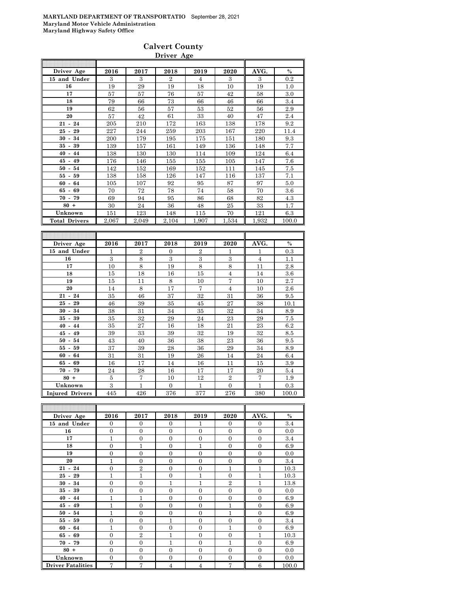### **Calvert County Driver Age**

| Driver Age           | 2016  | 2017  | 2018           | 2019  | 2020  | AVG.  | $\%$  |
|----------------------|-------|-------|----------------|-------|-------|-------|-------|
| 15 and Under         | 3     | 3     | $\overline{2}$ | 4     | 3     | 3     | 0.2   |
| 16                   | 19    | 29    | 19             | 18    | 10    | 19    | 1.0   |
| 17                   | 57    | 57    | 76             | 57    | 42    | 58    | 3.0   |
| 18                   | 79    | 66    | 73             | 66    | 46    | 66    | 3.4   |
| 19                   | 62    | 56    | 57             | 53    | 52    | 56    | 2.9   |
| 20                   | 57    | 42    | 61             | 33    | 40    | 47    | 2.4   |
| $21 - 24$            | 205   | 210   | 172            | 163   | 138   | 178   | 9.2   |
| $25 - 29$            | 227   | 244   | 259            | 203   | 167   | 220   | 11.4  |
| $30 -$<br>34         | 200   | 179   | 195            | 175   | 151   | 180   | 9.3   |
| 39<br>35 -           | 139   | 157   | 161            | 149   | 136   | 148   | 7.7   |
| $40 - 44$            | 138   | 130   | 130            | 114   | 109   | 124   | 6.4   |
| $45 - 49$            | 176   | 146   | 155            | 155   | 105   | 147   | 7.6   |
| $50 - 54$            | 142   | 152   | 169            | 152   | 111   | 145   | 7.5   |
| $55 - 59$            | 138   | 158   | 126            | 147   | 116   | 137   | 7.1   |
| $60 - 64$            | 105   | 107   | 92             | 95    | 87    | 97    | 5.0   |
| $65 - 69$            | 70    | 72    | 78             | 74    | 58    | 70    | 3.6   |
| $70 - 79$            | 69    | 94    | 95             | 86    | 68    | 82    | 4.3   |
| $80 +$               | 30    | 24    | 36             | 48    | 25    | 33    | 1.7   |
| Unknown              | 151   | 123   | 148            | 115   | 70    | 121   | 6.3   |
| <b>Total Drivers</b> | 2,067 | 2,049 | 2,104          | 1,907 | 1,534 | 1,932 | 100.0 |
|                      |       |       |                |       |       | ۳     |       |

| Driver Age             | 2016 | 2017           | 2018                    | 2019           | 2020           | AVG.           | $\%$  |
|------------------------|------|----------------|-------------------------|----------------|----------------|----------------|-------|
| 15 and Under           | 1    | $\overline{2}$ | $\Omega$                | $\overline{2}$ | 1              | 1              | 0.3   |
| 16                     | 3    | 8              | $\overline{\mathbf{3}}$ | 3              | 3              | $\overline{4}$ | 1.1   |
| 17                     | 10   | 8              | 19                      | 8              | 8              | 11             | 2.8   |
| 18                     | 15   | 18             | 16                      | 15             | $\overline{4}$ | 14             | 3.6   |
| 19                     | 15   | 11             | 8                       | 10             | $\overline{7}$ | 10             | 2.7   |
| 20                     | 14   | 8              | 17                      | 7              | $\overline{4}$ | 10             | 2.6   |
| $21 - 24$              | 35   | 46             | 37                      | 32             | 31             | 36             | 9.5   |
| $25 -$<br>29           | 46   | 39             | 35                      | 45             | 27             | 38             | 10.1  |
| 34<br>$30 -$           | 38   | 31             | 34                      | 35             | 32             | 34             | 8.9   |
| $35 -$<br>39           | 35   | 32             | 29                      | 24             | 23             | 29             | 7.5   |
| $40 - 44$              | 35   | 27             | 16                      | 18             | 21             | 23             | 6.2   |
| $45 - 49$              | 39   | 33             | 39                      | 32             | 19             | 32             | 8.5   |
| 54<br>$50 -$           | 43   | 40             | 36                      | 38             | 23             | 36             | 9.5   |
| 59<br>55 -             | 37   | 39             | 28                      | 36             | 29             | 34             | 8.9   |
| 64<br>$60 -$           | 31   | 31             | 19                      | 26             | 14             | 24             | 6.4   |
| 69<br>65 -             | 16   | 17             | 14                      | 16             | 11             | 15             | 3.9   |
| $70 - 79$              | 24   | 28             | 16                      | 17             | 17             | 20             | 5.4   |
| $80 +$                 | 5    | $\overline{7}$ | 10                      | 12             | $\overline{2}$ | $\overline{7}$ | 1.9   |
| Unknown                | 3    | $\mathbf{1}$   | $\overline{0}$          | 1              | $\theta$       | $\mathbf{1}$   | 0.3   |
| <b>Injured Drivers</b> | 445  | 426            | 376                     | 377            | 276            | 380            | 100.0 |

| Driver Age               | 2016           | 2017           | 2018           | 2019           | 2020           | AVG.           | $\%$  |
|--------------------------|----------------|----------------|----------------|----------------|----------------|----------------|-------|
| 15 and Under             | $\Omega$       | $\Omega$       | $\Omega$       | 1              | $\Omega$       | $\mathbf{0}$   | 3.4   |
| 16                       | $\overline{0}$ | $\overline{0}$ | $\Omega$       | $\theta$       | $\overline{0}$ | $\mathbf{0}$   | 0.0   |
| 17                       | 1              | $\overline{0}$ | $\overline{0}$ | $\Omega$       | $\overline{0}$ | $\mathbf{0}$   | 3.4   |
| 18                       | $\overline{0}$ | $\mathbf{1}$   | $\Omega$       | $\mathbf{1}$   | $\overline{0}$ | $\mathbf{0}$   | 6.9   |
| 19                       | $\overline{0}$ | $\overline{0}$ | $\Omega$       | $\theta$       | $\overline{0}$ | $\mathbf{0}$   | 0.0   |
| 20                       | 1              | $\overline{0}$ | $\Omega$       | $\theta$       | $\overline{0}$ | $\overline{0}$ | 3.4   |
| $21 - 24$                | $\overline{0}$ | $\overline{2}$ | $\Omega$       | $\Omega$       | $\mathbf{1}$   | 1              | 10.3  |
| $25 - 29$                | $\mathbf{1}$   | $\overline{1}$ | $\Omega$       | 1              | $\overline{0}$ | 1              | 10.3  |
| $30 - 34$                | $\overline{0}$ | $\overline{0}$ | 1              | 1              | $\overline{2}$ | 1              | 13.8  |
| $35 - 39$                | $\overline{0}$ | $\overline{0}$ | $\overline{0}$ | $\theta$       | $\overline{0}$ | $\mathbf{0}$   | 0.0   |
| $40 - 44$                | $\mathbf{1}$   | $\overline{1}$ | $\Omega$       | $\Omega$       | $\overline{0}$ | $\overline{0}$ | 6.9   |
| $45 - 49$                | $\mathbf{1}$   | $\overline{0}$ | $\overline{0}$ | $\overline{0}$ | $\mathbf{1}$   | $\mathbf{0}$   | 6.9   |
| $50 - 54$                | $\mathbf{1}$   | $\overline{0}$ | $\Omega$       | $\Omega$       | $\mathbf{1}$   | $\mathbf{0}$   | 6.9   |
| $55 - 59$                | $\overline{0}$ | $\overline{0}$ | 1              | $\Omega$       | $\overline{0}$ | $\overline{0}$ | 3.4   |
| $60 - 64$                | 1              | $\overline{0}$ | $\Omega$       | $\Omega$       | $\mathbf{1}$   | $\overline{0}$ | 6.9   |
| $65 - 69$                | $\overline{0}$ | $\overline{2}$ | 1              | $\Omega$       | $\overline{0}$ | $\overline{1}$ | 10.3  |
| $70 - 79$                | $\overline{0}$ | $\overline{0}$ | $\mathbf{1}$   | $\Omega$       | 1              | $\overline{0}$ | 6.9   |
| $80 +$                   | $\overline{0}$ | $\overline{0}$ | $\Omega$       | $\Omega$       | $\overline{0}$ | $\mathbf{0}$   | 0.0   |
| Unknown                  | $\overline{0}$ | $\overline{0}$ | $\overline{0}$ | $\overline{0}$ | $\overline{0}$ | $\overline{0}$ | 0.0   |
| <b>Driver Fatalities</b> | $\overline{7}$ | 7              | 4              | $\overline{4}$ | 7              | 6              | 100.0 |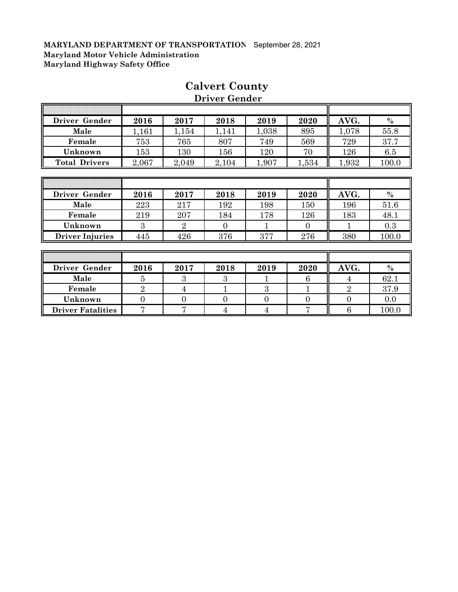Ī

F

| Driver Gender          | 2016  | 2017           | 2018     | 2019  | 2020     | AVG.  | $\%$          |
|------------------------|-------|----------------|----------|-------|----------|-------|---------------|
| Male                   | 1,161 | 1,154          | 1,141    | 1,038 | 895      | 1,078 | 55.8          |
| Female                 | 753   | 765            | 807      | 749   | 569      | 729   | 37.7          |
| Unknown                | 153   | 130            | 156      | 120   | 70       | 126   | 6.5           |
| <b>Total Drivers</b>   | 2,067 | 2,049          | 2,104    | 1,907 | 1,534    | 1,932 | 100.0         |
|                        |       |                |          |       |          |       |               |
|                        |       |                |          |       |          |       |               |
| Driver Gender          | 2016  | 2017           | 2018     | 2019  | 2020     | AVG.  | $\%$          |
| Male                   | 223   | 217            | 192      | 198   | 150      | 196   | 51.6          |
| Female                 | 219   | 207            | 184      | 178   | 126      | 183   | 48.1          |
| Unknown                | 3     | $\overline{2}$ | $\Omega$ |       | $\Omega$ |       | 0.3           |
| <b>Driver Injuries</b> | 445   | 426            | 376      | 377   | 276      | 380   | 100.0         |
|                        |       |                |          |       |          |       |               |
|                        |       |                |          |       |          |       |               |
| Driver Gender          | 2016  | 2017           | 2018     | 2019  | 2020     | AVG.  | $\frac{0}{0}$ |

**Male** | 5 | 3 | 3 | 1 | 6 | 4 | 62.1 **Female** 2 4 1 3 1 2 37.9 **Unknown** 0 0 0 0 0 0 0.0 **Driver Fatalities** 7 7 7 4 4 7 6 100.0

# **Calvert County Driver Gender**

T

╗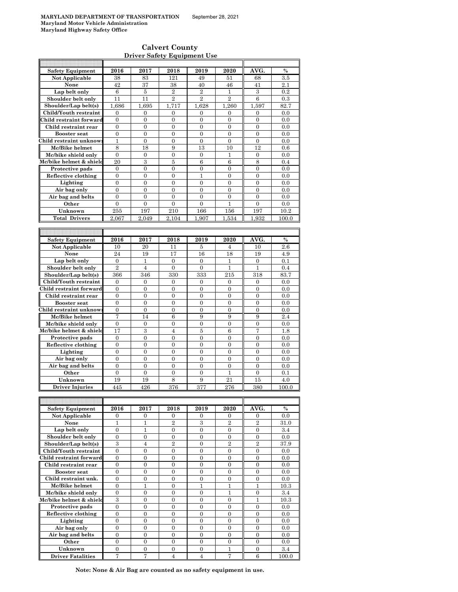### **Calvert County Driver Safety Equipment Use**

| <b>Safety Equipment</b>           | 2016                             | 2017                             | 2018                             | 2019                             | 2020                             | AVG.                             | $\frac{0}{0}$ |
|-----------------------------------|----------------------------------|----------------------------------|----------------------------------|----------------------------------|----------------------------------|----------------------------------|---------------|
| Not Applicable                    | 38                               | 83                               | 121                              | 49                               | 51                               | 68                               | 3.5           |
| None                              | 42                               | 37                               | 38                               | 40                               | 46                               | 41                               | 2.1           |
| Lap belt only                     | 6                                | 5                                | $\overline{2}$                   | $\overline{2}$                   | 1                                | 3                                | 0.2           |
| Shoulder belt only                | 11                               | 11                               | $\overline{2}$                   | $\overline{2}$                   | $\overline{2}$                   | 6                                | 0.3           |
| Shoulder/Lap belt(s)              | 1,686                            | 1,695                            | 1,717                            | 1,628                            | 1,260                            | 1,597                            | 82.7          |
| Child/Youth restraint             | 0                                | 0                                | $\mathbf{0}$                     | $\mathbf{0}$                     | 0                                | 0                                | 0.0           |
| Child restraint forward           | $\overline{0}$                   | $\overline{0}$                   | $\overline{0}$                   | $\overline{0}$                   | $\overline{0}$                   | $\overline{0}$                   | 0.0           |
| Child restraint rear              | $\overline{0}$                   | $\overline{0}$                   | $\overline{0}$                   | $\overline{0}$                   | $\overline{0}$                   | $\overline{0}$                   | 0.0           |
| <b>Booster seat</b>               | $\overline{0}$                   | $\overline{0}$                   | $\overline{0}$                   | $\overline{0}$                   | $\overline{0}$                   | $\overline{0}$                   | 0.0           |
| Child restraint unknow            | 1                                | 0                                | $\mathbf{0}$                     | $\boldsymbol{0}$                 | $\boldsymbol{0}$                 | $\boldsymbol{0}$                 | 0.0           |
| Mc/Bike helmet                    | 8                                | 18                               | 9                                | 13                               | 10                               | 12                               | 0.6           |
| Mc/bike shield only               | $\mathbf{0}$                     | $\overline{0}$                   | $\overline{0}$                   | $\overline{0}$                   | 1                                | $\mathbf{0}$                     | 0.0           |
| Mc/bike helmet & shield           | 20                               | $\boldsymbol{3}$                 | 5                                | 6                                | 6                                | 8                                | 0.4           |
| Protective pads                   | $\overline{0}$                   | $\overline{0}$                   | $\overline{0}$                   | $\overline{0}$                   | $\overline{0}$                   | $\overline{0}$                   | 0.0           |
| Reflective clothing               | 0                                | 0                                | $\overline{0}$                   | $\mathbf{1}$                     | $\overline{0}$                   | $\overline{0}$                   | 0.0           |
| Lighting                          | $\overline{0}$<br>$\overline{0}$ | $\overline{0}$<br>$\overline{0}$ | $\overline{0}$<br>$\overline{0}$ | $\overline{0}$<br>$\overline{0}$ | $\overline{0}$<br>$\overline{0}$ | $\overline{0}$<br>$\overline{0}$ | 0.0<br>0.0    |
| Air bag only<br>Air bag and belts | $\overline{0}$                   | $\overline{0}$                   | $\overline{0}$                   | $\overline{0}$                   | $\overline{0}$                   | $\overline{0}$                   | 0.0           |
| Other                             | $\overline{0}$                   | $\overline{0}$                   | $\overline{0}$                   | $\overline{0}$                   | 1                                | 0                                | 0.0           |
| Unknown                           | 255                              | 197                              | 210                              | 166                              | 156                              | 197                              | 10.2          |
| <b>Total Drivers</b>              | 2,067                            | 2,049                            | 2.104                            | 1,907                            | 1,534                            | 1,932                            | 100.0         |
|                                   |                                  |                                  |                                  |                                  |                                  |                                  |               |
|                                   |                                  |                                  |                                  |                                  |                                  |                                  |               |
| <b>Safety Equipment</b>           | 2016                             | 2017                             | 2018                             | 2019                             | 2020                             | AVG.                             | $\%$          |
| Not Applicable                    | 10                               | 20                               | 11                               | 5                                | 4                                | 10                               | 2.6           |
| None                              | 24                               | 19                               | 17                               | 16                               | 18                               | 19                               | 4.9           |
| Lap belt only                     | $\mathbf{0}$                     | 1                                | 0                                | 0                                | 1                                | 0                                | 0.1           |
| Shoulder belt only                | $\overline{2}$                   | $\overline{4}$                   | $\overline{0}$                   | $\overline{0}$                   | 1                                | 1                                | 0.4           |
| Shoulder/Lap belt(s)              | 366                              | 346                              | 330                              | 333                              | 215                              | 318                              | 83.7          |
| Child/Youth restraint             | $\mathbf{0}$                     | $\overline{0}$                   | $\overline{0}$                   | $\overline{0}$                   | $\overline{0}$                   | $\overline{0}$                   | 0.0           |
| Child restraint forward           | 0                                | 0                                | $\mathbf{0}$                     | $\boldsymbol{0}$                 | $\boldsymbol{0}$                 | $\boldsymbol{0}$                 | 0.0           |
| Child restraint rear              | 0                                | 0                                | $\boldsymbol{0}$                 | $\overline{0}$                   | $\overline{0}$                   | $\overline{0}$                   | 0.0           |
| <b>Booster</b> seat               | $\overline{0}$                   | $\overline{0}$                   | $\overline{0}$                   | $\overline{0}$                   | $\overline{0}$                   | $\overline{0}$                   | 0.0           |
| Child restraint unknow            | 0                                | $\boldsymbol{0}$                 | $\boldsymbol{0}$                 | $\boldsymbol{0}$                 | $\boldsymbol{0}$                 | $\boldsymbol{0}$                 | 0.0           |
| Mc/Bike helmet                    | 7                                | 14                               | 6                                | 9                                | 9                                | 9                                | 2.4           |
| Mc/bike shield only               | 0                                | $\boldsymbol{0}$                 | $\mathbf{0}$                     | $\mathbf{0}$                     | $\boldsymbol{0}$                 | $\boldsymbol{0}$                 | 0.0           |
| Mc/bike helmet & shield           | 17                               | 3                                | $\overline{4}$                   | 5                                | 6                                | 7                                | 1.8           |
| Protective pads                   | $\mathbf{0}$                     | $\overline{0}$                   | $\overline{0}$                   | $\overline{0}$                   | $\overline{0}$                   | $\overline{0}$                   | 0.0           |
| Reflective clothing               | $\overline{0}$                   | $\overline{0}$                   | $\overline{0}$                   | $\overline{0}$                   | $\overline{0}$                   | $\overline{0}$                   | 0.0           |
| Lighting                          | $\boldsymbol{0}$                 | $\mathbf{0}$                     | $\boldsymbol{0}$                 | $\boldsymbol{0}$                 | $\boldsymbol{0}$                 | $\boldsymbol{0}$                 | 0.0           |
| Air bag only                      | 0                                | 0                                | 0                                | 0                                | $\overline{0}$                   | 0                                | 0.0           |
| Air bag and belts                 | $\overline{0}$                   | $\overline{0}$                   | $\overline{0}$                   | $\overline{0}$                   | $\overline{0}$                   | $\overline{0}$                   | 0.0           |
| Other                             | $\boldsymbol{0}$                 | $\mathbf{0}$                     | $\boldsymbol{0}$                 | $\mathbf{0}$                     | 1                                | $\mathbf{0}$                     | 0.1           |
| Unknown                           | 19                               | 19                               | 8                                | 9                                | 21                               | 15                               | 4.0           |
| <b>Driver Injuries</b>            | 445                              | 426                              | 376                              | 377                              | 276                              | 380                              | 100.0         |
|                                   |                                  |                                  |                                  |                                  |                                  |                                  |               |
| <b>Safety Equipment</b>           | 2016                             | 2017                             | 2018                             | 2019                             | 2020                             | AVG.                             | $\%$          |
| Not Applicable                    | 0                                | 0                                | 0                                | 0                                | 0                                | 0                                | 0.0           |
| None                              | 1                                | 1                                | 2                                | 3                                | $\boldsymbol{2}$                 | $\boldsymbol{2}$                 | 31.0          |
| Lap belt only                     | $\overline{0}$                   | $\mathbf{1}$                     | $\boldsymbol{0}$                 | $\overline{0}$                   | $\overline{0}$                   | $\boldsymbol{0}$                 | 3.4           |
| Shoulder belt only                | 0                                | 0                                | $\boldsymbol{0}$                 | $\boldsymbol{0}$                 | $\boldsymbol{0}$                 | $\boldsymbol{0}$                 | 0.0           |
| Shoulder/Lap belt(s)              | 3                                | 4                                | $\overline{2}$                   | 0                                | $\overline{2}$                   | $\overline{2}$                   | 37.9          |
| Child/Youth restraint             | $\boldsymbol{0}$                 | 0                                | $\boldsymbol{0}$                 | $\mathbf{0}$                     | $\boldsymbol{0}$                 | $\boldsymbol{0}$                 | 0.0           |
| Child restraint forward           | $\boldsymbol{0}$                 | $\boldsymbol{0}$                 | $\boldsymbol{0}$                 | $\boldsymbol{0}$                 | $\boldsymbol{0}$                 | $\boldsymbol{0}$                 | 0.0           |
| Child restraint rear              | $\boldsymbol{0}$                 | 0                                | $\overline{0}$                   | $\overline{0}$                   | $\boldsymbol{0}$                 | $\boldsymbol{0}$                 | 0.0           |
| <b>Booster seat</b>               | 0                                | 0                                | $\boldsymbol{0}$                 | $\boldsymbol{0}$                 | $\boldsymbol{0}$                 | $\boldsymbol{0}$                 | 0.0           |
| Child restraint unk.              | $\overline{0}$                   | $\overline{0}$                   | $\overline{0}$                   | $\mathbf{0}$                     | $\overline{0}$                   | $\boldsymbol{0}$                 | 0.0           |
| Mc/Bike helmet                    | $\overline{0}$                   | $\mathbf{1}$                     | $\overline{0}$                   | $\mathbf{1}$                     | 1                                | 1                                | 10.3          |
| Mc/bike shield only               | 0                                | 0                                | $\overline{0}$                   | 0                                | 1                                | $\boldsymbol{0}$                 | 3.4           |
| Mc/bike helmet & shield           | 3                                | $\boldsymbol{0}$                 | $\boldsymbol{0}$                 | $\boldsymbol{0}$                 | $\boldsymbol{0}$                 | 1                                | 10.3          |
| Protective pads                   | 0                                | 0                                | 0                                | 0                                | 0                                | 0                                | 0.0           |
| Reflective clothing               | $\boldsymbol{0}$                 | $\overline{0}$                   | $\overline{0}$                   | $\overline{0}$                   | $\overline{0}$                   | $\overline{0}$                   | 0.0           |
| Lighting                          | $\boldsymbol{0}$                 | $\boldsymbol{0}$                 | 0                                | 0                                | 0                                | 0                                | 0.0           |
| Air bag only                      | $\boldsymbol{0}$                 | $\mathbf{0}$                     | $\overline{0}$                   | $\overline{0}$                   | $\overline{0}$                   | $\overline{0}$                   | 0.0           |
| Air bag and belts                 | $\boldsymbol{0}$                 | 0                                | 0                                | 0                                | 0                                | 0                                | 0.0           |
| Other                             | 0                                | $\overline{0}$                   | $\mathbf{0}$                     | $\mathbf{0}$                     | $\boldsymbol{0}$                 | $\boldsymbol{0}$                 | 0.0           |
| Unknown                           | $\boldsymbol{0}$                 | 0                                | $\boldsymbol{0}$                 | $\overline{0}$                   | 1                                | $\overline{0}$                   | 3.4           |
| <b>Driver Fatalities</b>          | 7                                | 7                                | 4                                | $\overline{4}$                   | 7                                | 6                                | 100.0         |

**Note: None & Air Bag are counted as no safety equipment in use.**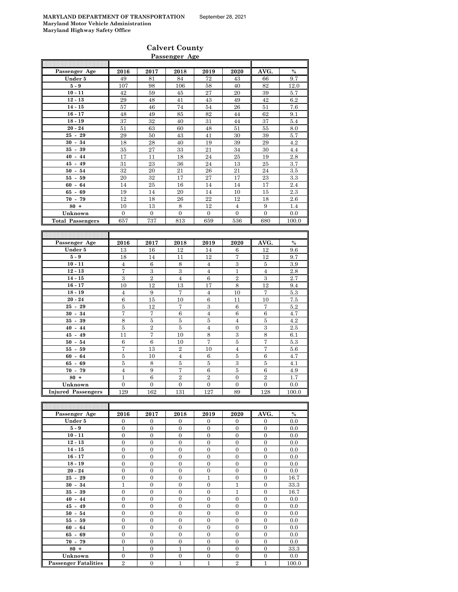# **Calvert County Passenger Age**

|                         |                   |                  | rassenger age     |                  |                     |                   |                  |
|-------------------------|-------------------|------------------|-------------------|------------------|---------------------|-------------------|------------------|
| Passenger Age           | 2016              | 2017             |                   | 2019             | 2020                | AVG.              | $\%$             |
|                         |                   |                  | 2018              |                  |                     |                   |                  |
| Under 5                 | 49                | 81               | 84                | 72               | 43                  | 66                | 9.7              |
| $5-9$                   | 107               | 98               | 106               | 58               | 40                  | 82                | 12.0             |
| $10 - 11$               | 42                | 59               | 45                | 27               | 20                  | 39                | 5.7              |
| $12 - 13$               | 29                | 48               | 41                | 43               | 49                  | 42                | 6.2              |
| $14 - 15$               | 57                | 46               | 74                | 54               | 26                  | 51                | 7.6              |
| $16 - 17$               | 48                | 49               | 85                | 82               | 44                  | 62                | 9.1              |
| $18 - 19$               | 37                | $32\,$           | 40                | 31               | 44                  | 37                | $\overline{5.4}$ |
| $20 - 24$               | 51                | 63               | 60                | 48               | 51                  | 55                | $8.0\,$          |
| $25 - 29$               | 29                | 50               | 43                | 41               | 30                  | $39\,$            | 5.7              |
| $30 - 34$               | 18                | ${\bf 28}$       | 40                | 19               | $39\,$              | 29                | 4.2              |
| $35 - 39$               | 35                | 27               | 33                | 21               | 34                  | 30                | 4.4              |
| $40 - 44$               | 17                | 11               | 18                | 24               | 25                  | 19                | $2.8\,$          |
| $45 - 49$               | 31                | $\bf 23$         | $36\,$            | 24               | 13                  | 25                | 3.7              |
| $50 - 54$               | 32                | 20               | 21                | 26               | 21                  | 24                | 3.5              |
| $55 - 59$               | 20                | 32               | 17                | 27               | 17                  | 23                | 3.3              |
| $60 - 64$               | 14                | $\rm 25$         | 16                | 14               | 14                  | 17                | 2.4              |
| $65 - 69$               | 19                | 14               | 20                | 14               | 10                  | 15                | 2.3              |
| $70 - 79$               | 12                | 18               | 26                | 22               | 12                  | 18                | $2.6\,$          |
| $80 +$                  | 10                | 13               | $\,8\,$           | 12               | $\overline{4}$      | 9                 | 1.4              |
| Unknown                 | $\mathbf{0}$      | $\boldsymbol{0}$ | $\boldsymbol{0}$  | $\boldsymbol{0}$ | $\mathbf{0}$        | $\mathbf{0}$      | 0.0              |
| <b>Total Passengers</b> | 657               | 737              | 813               | 659              | 536                 | 680               | 100.0            |
|                         |                   |                  |                   |                  |                     |                   |                  |
|                         |                   |                  |                   |                  |                     |                   |                  |
| Passenger Age           | 2016              | 2017             | 2018              | 2019             | 2020                | AVG.              | $\%$             |
| Under 5                 |                   |                  |                   |                  |                     |                   |                  |
|                         | 13                | 16               | 12                | 14               | 6                   | 12                | $9.6\,$          |
| $5-9$                   | 18                | 14               | 11                | 12               | 7                   | 12                | 9.7              |
| $10 - 11$               | 4                 | 6                | 8                 | $\overline{4}$   | $\,3$               | 5                 | 3.9              |
| $12 - 13$               | $\scriptstyle{7}$ | $\,3$            | $\sqrt{3}$        | $\overline{4}$   | $\mathbf{1}$        | $\overline{4}$    | $2.8\,$          |
| $14 - 15$               | 3                 | $\,2$            | $\overline{4}$    | $\,6$            | $\,2$               | $\,3$             | 2.7              |
| $16 - 17$               | 10                | 12               | 13                | 17               | 8                   | 12                | 9.4              |
| $18 - 19$               | $\overline{4}$    | $\boldsymbol{9}$ | $\scriptstyle{7}$ | $\overline{4}$   | 10                  | $\scriptstyle{7}$ | $5.3\,$          |
| $20 - 24$               | 6                 | 15               | 10                | 6                | $^{11}$             | 10                | 7.5              |
| $25 - 29$               | $\bf 5$           | 12               | 7                 | $\,3\,$          | $\,6$               | 7                 | 5.2              |
| $30 - 34$               | 7                 | 7                | 6                 | $\overline{4}$   | $\,6$               | 6                 | 4.7              |
| $35 - 39$               | 8                 | 5                | 5                 | $\bf 5$          | $\overline{4}$      | 5                 | 4.2              |
| $40 - 44$               | $\bf 5$           | $\overline{2}$   | $\bf 5$           | $\overline{4}$   | $\boldsymbol{0}$    | $\,3\,$           | 2.5              |
| $45 - 49$               | 11                | 7                | 10                | 8                | $\,3$               | $\,$ 8 $\,$       | 6.1              |
| $50 - 54$               | $\,6$             | $\,6\,$          | 10                | $\overline{7}$   | $\overline{5}$      | $\overline{7}$    | $5.3\,$          |
| $55 - 59$               | 7                 | 13               | $\,2$             | 10               | $\overline{4}$      | 7                 | 5.6              |
| $60 - 64$               | 5                 | 10               | $\overline{4}$    | 6                | $\bf 5$             | 6                 | 4.7              |
| $65 - 69$               | $\bf 5$           | $\,8\,$          | $\bf 5$           | $\bf 5$          | $\,3$               | $\bf 5$           | 4.1              |
| $70 - 79$               | $\overline{4}$    | 9                | 7                 | 6                | 5                   | 6                 | 4.9              |
| $80 +$                  | $\mathbf{1}$      | 6                | $\overline{2}$    | $\,2$            | $\boldsymbol{0}$    | $\overline{2}$    | 1.7              |
| Unknown                 | $\boldsymbol{0}$  | $\boldsymbol{0}$ | $\boldsymbol{0}$  | 0                | $\boldsymbol{0}$    | $\boldsymbol{0}$  | 0.0              |
| <b>Injured Passeng</b>  | 129               | 162              | 131               | $\overline{127}$ | 89                  | 128               | 100.0            |
|                         |                   |                  |                   |                  |                     |                   |                  |
|                         |                   |                  |                   |                  |                     |                   |                  |
| Passenger Age           | 2016              | 2017             | 2018              | 2019             | 2020                | AVG.              | $\%$             |
| Under 5                 | $\mathbf{0}$      | $\boldsymbol{0}$ | $\overline{0}$    |                  |                     | 0                 | 0.0              |
| $5-9$                   | $\overline{0}$    |                  |                   | 0                | 0<br>$\overline{0}$ | $\overline{0}$    |                  |
|                         |                   | $\boldsymbol{0}$ | $\boldsymbol{0}$  | $\mathbf{0}$     |                     |                   | 0.0              |
| $10 - 11$               | $\boldsymbol{0}$  | $\boldsymbol{0}$ | $\boldsymbol{0}$  | $\boldsymbol{0}$ | $\boldsymbol{0}$    | 0                 | 0.0              |
| $12 - 13$               | $\boldsymbol{0}$  | $\boldsymbol{0}$ | $\boldsymbol{0}$  | $\boldsymbol{0}$ | $\boldsymbol{0}$    | $\boldsymbol{0}$  | 0.0              |
| $14 - 15$               | $\boldsymbol{0}$  | $\boldsymbol{0}$ | $\boldsymbol{0}$  | $\boldsymbol{0}$ | $\boldsymbol{0}$    | $\boldsymbol{0}$  | 0.0              |
| $16 - 17$               | $\boldsymbol{0}$  | $\boldsymbol{0}$ | $\boldsymbol{0}$  | $\boldsymbol{0}$ | 0                   | $\boldsymbol{0}$  | 0.0              |
| $18 - 19$               | $\boldsymbol{0}$  | $\boldsymbol{0}$ | $\boldsymbol{0}$  | $\boldsymbol{0}$ | $\boldsymbol{0}$    | $\boldsymbol{0}$  | 0.0              |
| $20 - 24$               | $\boldsymbol{0}$  | $\boldsymbol{0}$ | $\boldsymbol{0}$  | $\boldsymbol{0}$ | $\boldsymbol{0}$    | $\boldsymbol{0}$  | 0.0              |
| $25 - 29$               | 0                 | $\boldsymbol{0}$ | $\boldsymbol{0}$  | 1                | $\boldsymbol{0}$    | 0                 | 16.7             |
| $30 - 34$               | $\mathbf{1}$      | $\boldsymbol{0}$ | $\boldsymbol{0}$  | $\boldsymbol{0}$ | $\mathbf{1}$        | $\boldsymbol{0}$  | 33.3             |
| $35 - 39$               | $\boldsymbol{0}$  | $\boldsymbol{0}$ | 0                 | $\boldsymbol{0}$ | $\mathbf 1$         | $\boldsymbol{0}$  | 16.7             |
| $40 - 44$               | $\boldsymbol{0}$  | $\boldsymbol{0}$ | $\boldsymbol{0}$  | $\boldsymbol{0}$ | $\boldsymbol{0}$    | $\boldsymbol{0}$  | 0.0              |
|                         |                   |                  |                   |                  |                     |                   |                  |
| $45 - 49$               | $\boldsymbol{0}$  | $\boldsymbol{0}$ | 0                 | $\boldsymbol{0}$ | $\boldsymbol{0}$    | $\boldsymbol{0}$  | 0.0              |

**55 - 59** 0 0 0 0 0 0 0.0 **60 - 64** 0 0 0 0 0 0 0.0 **65 - 69** 0 0 0 0 0 0 0.0 **70 - 79** 0 0 0 0 0 0 0.0 **80 + 1** 1 0 1 0 0 0 33.3 **Unknown** 0 0 0 0 0 0 0.0

**Passenger Fatalities**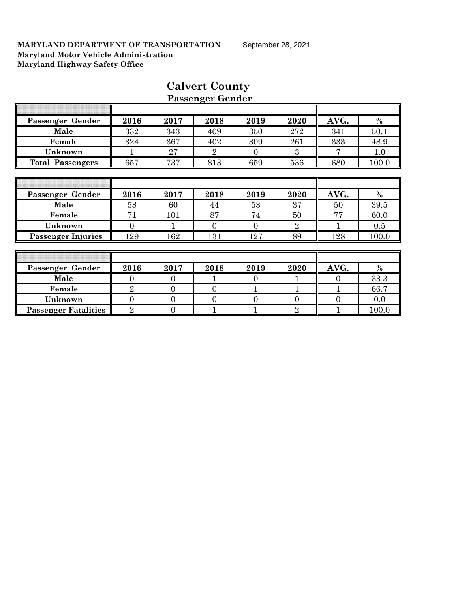| Passenger Gender            | 2016           | 2017           | 2018           | 2019           | 2020           | AVG.     | $\%$  |
|-----------------------------|----------------|----------------|----------------|----------------|----------------|----------|-------|
| Male                        | 332            | 343            | 409            | 350            | 272            | 341      | 50.1  |
| Female                      | 324            | 367            | 402            | 309            | 261            | 333      | 48.9  |
| Unknown                     |                | 27             | $\overline{2}$ | $\Omega$       | 3              | 7        | 1.0   |
| <b>Total Passengers</b>     | 657            | 737            | 813            | 659            | 536            | 680      | 100.0 |
|                             |                |                |                |                |                |          |       |
|                             |                |                |                |                |                |          |       |
| Passenger Gender            | 2016           | 2017           | 2018           | 2019           | 2020           | AVG.     | $\%$  |
| Male                        | 58             | 60             | 44             | 53             | 37             | 50       | 39.5  |
| Female                      | 71             | 101            | 87             | 74             | 50             | 77       | 60.0  |
| Unknown                     | $\overline{0}$ | 1              | $\overline{0}$ | $\theta$       | $\overline{2}$ |          | 0.5   |
| <b>Passenger Injuries</b>   | 129            | 162            | 131            | 127            | 89             | 128      | 100.0 |
|                             |                |                |                |                |                |          |       |
|                             |                |                |                |                |                |          |       |
| Passenger Gender            | 2016           | 2017           | 2018           | 2019           | 2020           | AVG.     | $\%$  |
| Male                        | $\Omega$       | $\Omega$       | 1              | $\theta$       |                | $\theta$ | 33.3  |
| Female                      | $\overline{2}$ | $\theta$       | $\theta$       | $\mathbf{1}$   | 1              | 1        | 66.7  |
| Unknown                     | $\theta$       | $\overline{0}$ | $\overline{0}$ | $\overline{0}$ | $\overline{0}$ | $\Omega$ | 0.0   |
| <b>Passenger Fatalities</b> | $\overline{2}$ | $\overline{0}$ | 1              |                | $\overline{2}$ |          | 100.0 |

# **Calvert County Passenger Gender**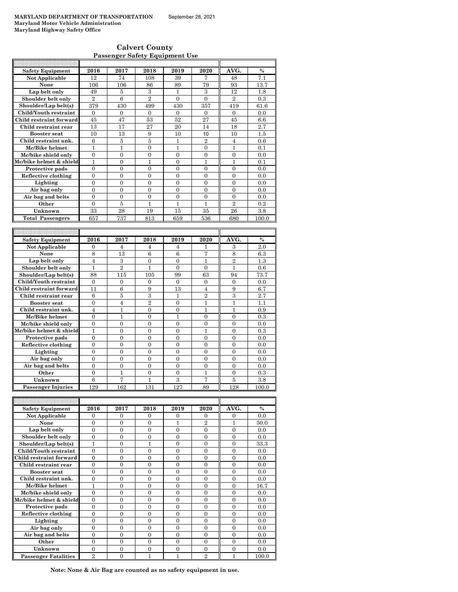| <b>Calvert County</b>                 |  |
|---------------------------------------|--|
| <b>Passenger Safety Equipment Use</b> |  |

| <b>Safety Equipment</b> | 2016           | 2017             | 2018             | 2019           | 2020             | AVG.             | $\frac{0}{0}$ |
|-------------------------|----------------|------------------|------------------|----------------|------------------|------------------|---------------|
| Not Applicable          | 12             | 74               | 108              | 39             | 7                | 48               | 7.1           |
| None                    | 106            | 106              | 86               | 89             | 79               | 93               | 13.7          |
| Lap belt only           | 49             | 5                | 3                | 1              | 3                | 12               | 1.8           |
| Shoulder belt only      | $\overline{2}$ | 6                | $\overline{2}$   | $\overline{0}$ | $\theta$         | $\overline{2}$   | 0.3           |
| Shoulder/Lap belt(s)    | 379            | 430              | 499              | 430            | 357              | 419              | 61.6          |
| Child/Youth restraint   | $\overline{0}$ | $\overline{0}$   | $\overline{0}$   | $\Omega$       | $\mathbf{0}$     | $\overline{0}$   | 0.0           |
| Child restraint forward | 45             | 47               | 53               | 52             | 27               | 45               | 6.6           |
| Child restraint rear    | 13             | 17               | 27               | 20             | 14               | 18               | 2.7           |
| <b>Booster seat</b>     | 10             | 13               | 9                | 10             | 10               | 10               | 1.5           |
| Child restraint unk.    | 6              | $\bf 5$          | 5                | $\mathbf{1}$   | $\overline{2}$   | $\overline{4}$   | 0.6           |
| Mc/Bike helmet          | $\mathbf{1}$   | $\mathbf{1}$     | $\theta$         | $\mathbf{1}$   | $\theta$         | 1                | 0.1           |
| Mc/bike shield only     | $\overline{0}$ | $\overline{0}$   | 0                | $\overline{0}$ | $\mathbf{0}$     | $\overline{0}$   | 0.0           |
| Mc/bike helmet & shield | $\mathbf{1}$   | $\overline{0}$   | $\mathbf{1}$     | $\overline{0}$ | $\mathbf{1}$     | $\mathbf{1}$     | 0.1           |
| Protective pads         | $\overline{0}$ | $\overline{0}$   | $\overline{0}$   | $\theta$       | $\theta$         | $\theta$         | 0.0           |
| Reflective clothing     | 0              | $\mathbf{0}$     | $\boldsymbol{0}$ | $\mathbf{0}$   | $\mathbf{0}$     | $\overline{0}$   | 0.0           |
| Lighting                | $\theta$       | $\theta$         | $\Omega$         | $\theta$       | $\theta$         | $\Omega$         | 0.0           |
| Air bag only            | $\theta$       | $\overline{0}$   | $\overline{0}$   | $\theta$       | $\theta$         | $\theta$         | 0.0           |
| Air bag and belts       | 0              | $\boldsymbol{0}$ | $\overline{0}$   | $\overline{0}$ | $\mathbf{0}$     | $\boldsymbol{0}$ | 0.0           |
| Other                   | $\overline{0}$ | 5                | $\mathbf{1}$     | $\mathbf{1}$   | $\mathbf{1}$     | $\overline{2}$   | 0.2           |
| Unknown                 | 33             | 28               | 19               | 15             | 35               | 26               | 3.8           |
| <b>Total Passengers</b> | 657            | 737              | 813              | 659            | 536              | 680              | 100.0         |
|                         |                |                  |                  |                |                  |                  |               |
|                         |                |                  |                  |                |                  |                  |               |
|                         |                |                  |                  |                |                  |                  |               |
| <b>Safety Equipment</b> | 2016           | 2017             | 2018             | 2019           | 2020             | AVG.             | $\frac{0}{0}$ |
| Not Applicable          | $\overline{0}$ | 4                | 4                | 4              | 1                | 3                | 2.0           |
| None                    | 8              | 13               | 6                | 6              | 7                | 8                | 6.3           |
| Lap belt only           | $\overline{4}$ | 3                | $\boldsymbol{0}$ | $\overline{0}$ | 1                | $\overline{2}$   | 1.3           |
| Shoulder belt only      | 1              | $\overline{2}$   | 1                | $\Omega$       | $\Omega$         | 1                | 0.6           |
| Shoulder/Lap belt(s)    | 88             | 115              | 105              | 99             | 63               | 94               | 73.7          |
| Child/Youth restraint   | $\mathbf{0}$   | 0                | 0                | $\mathbf{0}$   | $\mathbf{0}$     | $\mathbf{0}$     | 0.0           |
| Child restraint forward | 11             | 6                | 9                | 13             | $\overline{4}$   | 9                | 6.7           |
| Child restraint rear    | 6              | 5                | $\boldsymbol{3}$ | $\mathbf{1}$   | $\overline{2}$   | 3                | 2.7           |
| <b>Booster</b> seat     | $\theta$       | $\overline{4}$   | $\overline{2}$   | $\theta$       | 1                | 1                | 1.1           |
| Child restraint unk.    | $\overline{4}$ | $\mathbf{1}$     | $\overline{0}$   | $\theta$       | $\mathbf{1}$     | $\mathbf{1}$     | 0.9           |
| Mc/Bike helmet          | 0              | 1                | $\boldsymbol{0}$ | 1              | $\boldsymbol{0}$ | $\mathbf{0}$     | 0.3           |
| Mc/bike shield only     | $\overline{0}$ | $\overline{0}$   | $\overline{0}$   | $\theta$       | $\overline{0}$   | $\theta$         | 0.0           |
| Mc/bike helmet & shield | $\mathbf{1}$   | $\overline{0}$   | 0                | $\overline{0}$ | $\mathbf{1}$     | $\overline{0}$   | 0.3           |
| Protective pads         | $\theta$       | $\theta$         | $\theta$         | $\Omega$       | $\theta$         | $\theta$         | 0.0           |
| Reflective clothing     | $\overline{0}$ | $\overline{0}$   | $\overline{0}$   | $\overline{0}$ | $\overline{0}$   | $\overline{0}$   | 0.0           |
| Lighting                | $\overline{0}$ | $\overline{0}$   | $\overline{0}$   | $\overline{0}$ | $\overline{0}$   | $\overline{0}$   | 0.0           |
| Air bag only            | $\overline{0}$ | $\overline{0}$   | $\overline{0}$   | $\theta$       | $\theta$         | $\Omega$         | 0.0           |
| Air bag and belts       | 0              | $\mathbf{0}$     | $\boldsymbol{0}$ | $\overline{0}$ | $\overline{0}$   | $\overline{0}$   | 0.0           |
| Other                   | $\theta$       | $\mathbf{1}$     | $\theta$         | $\theta$       | $\mathbf{1}$     | $\theta$         | 0.3           |
| Unknown                 | 6              | 7                | $\overline{1}$   | $\overline{3}$ | 7                | 5                | 3.8           |

| <b>Safety Equipment</b>     | 2016           | 2017     | 2018     | 2019     | 2020           | AVG.     | $\frac{0}{0}$ |
|-----------------------------|----------------|----------|----------|----------|----------------|----------|---------------|
| Not Applicable              | $\Omega$       | $\Omega$ | $\Omega$ | $\Omega$ | $\Omega$       | $\Omega$ | 0.0           |
| None                        | $\Omega$       | $\Omega$ | $\Omega$ |          | $\overline{2}$ |          | 50.0          |
| Lap belt only               | $\Omega$       | $\Omega$ | $\Omega$ | $\Omega$ | $\Omega$       | $\Omega$ | 0.0           |
| Shoulder belt only          | $\Omega$       | $\Omega$ | 0        | $\Omega$ | $\Omega$       | $\Omega$ | 0.0           |
| Shoulder/Lap belt(s)        |                | 0        |          | 0        | 0              | 0        | 33.3          |
| Child/Youth restraint       | $\Omega$       | 0        | 0        | $\Omega$ | $\Omega$       | $\Omega$ | 0.0           |
| Child restraint forward     | $\Omega$       | $\Omega$ | $\Omega$ | $\Omega$ | $\Omega$       | $\Omega$ | 0.0           |
| Child restraint rear        | $\Omega$       | $\Omega$ | $\Omega$ | $\Omega$ | $\Omega$       | $\Omega$ | 0.0           |
| Booster seat                | $\Omega$       | $\Omega$ | $\Omega$ | 0        | $\Omega$       | $\Omega$ | 0.0           |
| Child restraint unk.        | 0              | 0        | 0        | 0        | 0              | 0        | 0.0           |
| Mc/Bike helmet              | 1              | $\Omega$ | $\Omega$ | $\Omega$ | $\Omega$       | $\Omega$ | 16.7          |
| Mc/bike shield only         | $\Omega$       | $\Omega$ | $\Omega$ | $\Omega$ | $\Omega$       | $\Omega$ | 0.0           |
| Mc/bike helmet & shield     | $\Omega$       | $\Omega$ | $\Omega$ | $\Omega$ | $\Omega$       | $\Omega$ | 0.0           |
| Protective pads             | $\Omega$       | $\Omega$ | $\Omega$ | $\Omega$ | $\Omega$       | $\Omega$ | 0.0           |
| Reflective clothing         | 0              | 0        | $\Omega$ | 0        | $\Omega$       | $\Omega$ | 0.0           |
| Lighting                    | $\Omega$       | $\Omega$ | $\Omega$ | $\Omega$ | $\Omega$       | $\Omega$ | 0.0           |
| Air bag only                | $\theta$       | $\Omega$ | $\Omega$ | $\Omega$ | $\Omega$       | $\Omega$ | 0.0           |
| Air bag and belts           | $\Omega$       | $\Omega$ | $\Omega$ | $\Omega$ | $\Omega$       | $\Omega$ | 0.0           |
| Other                       | 0              | $\Omega$ | $\Omega$ | $\Omega$ | $\Omega$       | $\Omega$ | 0.0           |
| Unknown                     | $\Omega$       | $\Omega$ | 0        | $\Omega$ | $\Omega$       | $\Omega$ | 0.0           |
| <b>Passenger Fatalities</b> | $\overline{2}$ | 0        |          |          | $\overline{2}$ |          | 100.0         |

**Note: None & Air Bag are counted as no safety equipment in use.**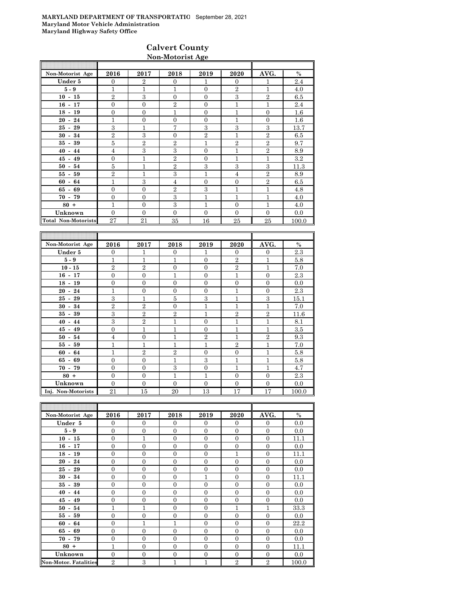## **Calvert County Non-Motorist Age**

| Non-Motorist Age           | 2016           | 2017           | 2018           | 2019           | 2020           | AVG.           | $\%$    |
|----------------------------|----------------|----------------|----------------|----------------|----------------|----------------|---------|
| Under 5                    | $\Omega$       | $\overline{2}$ | $\mathbf{0}$   | 1              | $\theta$       | 1              | 2.4     |
| $5-9$                      | 1              | 1              | 1              | $\Omega$       | $\overline{2}$ | 1              | 4.0     |
| $10 - 15$                  | $\overline{2}$ | 3              | $\Omega$       | $\mathbf{0}$   | 3              | $\overline{2}$ | 6.5     |
| $16 - 17$                  | $\mathbf{0}$   | $\mathbf{0}$   | $\overline{2}$ | $\Omega$       | $\overline{1}$ | 1              | 2.4     |
| $18 - 19$                  | $\overline{0}$ | $\mathbf{0}$   | 1              | $\Omega$       | 1              | $\Omega$       | 1.6     |
| $20 - 24$                  | 1              | $\overline{0}$ | $\Omega$       | $\Omega$       | 1              | $\Omega$       | 1.6     |
| $25 - 29$                  | 3              | $\mathbf{1}$   | 7              | 3              | 3              | 3              | 13.7    |
| $30 - 34$                  | $\overline{2}$ | 3              | $\Omega$       | $\overline{2}$ | 1              | $\overline{2}$ | 6.5     |
| $35 - 39$                  | 5              | $\overline{2}$ | $\overline{2}$ | 1              | $\overline{2}$ | $\overline{2}$ | 9.7     |
| $40 - 44$                  | $\overline{4}$ | 3              | 3              | $\Omega$       | $\overline{1}$ | $\overline{2}$ | 8.9     |
| $45 - 49$                  | $\overline{0}$ | $\mathbf{1}$   | $\overline{2}$ | $\mathbf{0}$   | $\overline{1}$ | 1              | $3.2\,$ |
| $50 - 54$                  | 5              | $\mathbf{1}$   | $\overline{2}$ | 3              | 3              | 3              | 11.3    |
| $55 - 59$                  | $\overline{2}$ | $\mathbf{1}$   | 3              | 1              | $\overline{4}$ | $\overline{2}$ | 8.9     |
| $60 - 64$                  | $\mathbf{1}$   | 3              | $\overline{4}$ | $\Omega$       | $\overline{0}$ | $\overline{2}$ | 6.5     |
| $65 - 69$                  | $\mathbf{0}$   | $\mathbf{0}$   | $\overline{2}$ | 3              | 1              | 1              | 4.8     |
| $70 - 79$                  | $\mathbf{0}$   | $\overline{0}$ | 3              | 1              | 1              | 1              | 4.0     |
| $80 +$                     | 1              | $\mathbf{0}$   | 3              | 1              | $\theta$       | 1              | 4.0     |
| Unknown                    | $\Omega$       | $\Omega$       | $\Omega$       | $\Omega$       | $\overline{0}$ | $\Omega$       | 0.0     |
| <b>Total Non-Motorists</b> | 27             | 21             | 35             | 16             | 25             | 25             | 100.0   |

| Non-Motorist Age   | 2016           | 2017             | 2018           | 2019           | 2020             | AVG.           | $\%$  |
|--------------------|----------------|------------------|----------------|----------------|------------------|----------------|-------|
| Under 5            | $\mathbf{0}$   | $\overline{1}$   | $\overline{0}$ | 1              | $\overline{0}$   | $\mathbf{0}$   | 2.3   |
| $5-9$              | $\mathbf{1}$   | $\mathbf{1}$     | $\mathbf{1}$   | $\overline{0}$ | $\overline{2}$   | $\mathbf{1}$   | 5.8   |
| $10 - 15$          | $\overline{2}$ | $\overline{2}$   | $\theta$       | $\Omega$       | $\overline{2}$   | $\mathbf{1}$   | 7.0   |
| $16 - 17$          | $\mathbf{0}$   | $\boldsymbol{0}$ | 1              | $\overline{0}$ | $\mathbf 1$      | $\overline{0}$ | 2.3   |
| $18 - 19$          | $\overline{0}$ | $\overline{0}$   | $\overline{0}$ | $\Omega$       | $\overline{0}$   | $\overline{0}$ | 0.0   |
| $20 - 24$          | $\mathbf{1}$   | $\overline{0}$   | $\overline{0}$ | $\Omega$       | $\overline{1}$   | $\overline{0}$ | 2.3   |
| $25 - 29$          | 3              | $\mathbf{1}$     | 5              | 3              | $\mathbf{1}$     | 3              | 15.1  |
| $30 - 34$          | $\overline{2}$ | $\overline{2}$   | $\overline{0}$ | $\mathbf{1}$   | 1                | $\mathbf{1}$   | 7.0   |
| $35 - 39$          | 3              | $\overline{2}$   | $\overline{2}$ | $\mathbf{1}$   | $\overline{2}$   | $\overline{2}$ | 11.6  |
| $40 - 44$          | 3              | $\overline{2}$   | 1              | $\Omega$       | $\overline{1}$   | 1              | 8.1   |
| $45 - 49$          | $\overline{0}$ | $\mathbf{1}$     | 1              | $\Omega$       | $\overline{1}$   | $\mathbf{1}$   | 3.5   |
| $50 - 54$          | $\overline{4}$ | $\overline{0}$   | 1              | $\overline{2}$ | $\overline{1}$   | $\overline{2}$ | 9.3   |
| $55 - 59$          | $\mathbf{1}$   | $\mathbf{1}$     | 1              | $\overline{1}$ | $\overline{2}$   | $\mathbf{1}$   | 7.0   |
| 64<br>$60 -$       | $\mathbf{1}$   | $\overline{2}$   | $\overline{2}$ | $\Omega$       | $\boldsymbol{0}$ | $\mathbf{1}$   | 5.8   |
| $65 - 69$          | $\overline{0}$ | $\mathbf{0}$     | 1              | 3              | $\overline{1}$   | $\mathbf{1}$   | 5.8   |
| $70 - 79$          | $\overline{0}$ | $\overline{0}$   | 3              | $\overline{0}$ | $\overline{1}$   | $\mathbf{1}$   | 4.7   |
| $80 +$             | $\overline{0}$ | $\overline{0}$   | 1              | $\mathbf{1}$   | $\boldsymbol{0}$ | $\overline{0}$ | 2.3   |
| Unknown            | $\Omega$       | $\overline{0}$   | $\Omega$       | $\Omega$       | $\mathbf{0}$     | $\overline{0}$ | 0.0   |
| Inj. Non-Motorists | 21             | 15               | 20             | 13             | 17               | 17             | 100.0 |

| Non-Motorist Age             | 2016           | 2017           | 2018           | 2019           | 2020           | AVG.           | $\%$  |
|------------------------------|----------------|----------------|----------------|----------------|----------------|----------------|-------|
| Under 5                      | $\Omega$       | $\overline{0}$ | $\Omega$       | $\Omega$       | $\Omega$       | $\mathbf{0}$   | 0.0   |
| $5-9$                        | $\mathbf{0}$   | $\mathbf{0}$   | $\mathbf{0}$   | $\overline{0}$ | $\overline{0}$ | $\mathbf{0}$   | 0.0   |
| $10 - 15$                    | $\mathbf{0}$   | $\mathbf{1}$   | $\theta$       | $\overline{0}$ | $\overline{0}$ | $\overline{0}$ | 11.1  |
| $16 - 17$                    | $\mathbf{0}$   | $\overline{0}$ | $\mathbf{0}$   | $\overline{0}$ | $\overline{0}$ | $\overline{0}$ | 0.0   |
| $18 - 19$                    | $\mathbf{0}$   | $\overline{0}$ | $\theta$       | $\theta$       | $\mathbf{1}$   | $\overline{0}$ | 11.1  |
| $20 - 24$                    | $\Omega$       | $\overline{0}$ | $\Omega$       | $\Omega$       | $\overline{0}$ | $\Omega$       | 0.0   |
| $25 - 29$                    | $\mathbf{0}$   | $\overline{0}$ | $\mathbf{0}$   | $\mathbf{0}$   | $\overline{0}$ | $\overline{0}$ | 0.0   |
| $30 - 34$                    | $\mathbf{0}$   | $\mathbf{0}$   | $\theta$       | 1              | $\overline{0}$ | $\overline{0}$ | 11.1  |
| $35 - 39$                    | $\mathbf{0}$   | $\mathbf{0}$   | $\mathbf{0}$   | $\overline{0}$ | $\overline{0}$ | $\overline{0}$ | 0.0   |
| $40 - 44$                    | $\mathbf{0}$   | $\overline{0}$ | $\theta$       | $\theta$       | $\overline{0}$ | $\overline{0}$ | 0.0   |
| $45 - 49$                    | $\Omega$       | $\overline{0}$ | $\Omega$       | $\Omega$       | $\overline{0}$ | $\Omega$       | 0.0   |
| $50 - 54$                    | 1              | $\mathbf{1}$   | $\Omega$       | $\mathbf{0}$   | 1              | 1              | 33.3  |
| $55 - 59$                    | $\mathbf{0}$   | $\overline{0}$ | $\overline{0}$ | $\theta$       | $\overline{0}$ | $\overline{0}$ | 0.0   |
| $60 - 64$                    | $\mathbf{0}$   | $\mathbf{1}$   | $\mathbf{1}$   | $\overline{0}$ | $\overline{0}$ | $\overline{0}$ | 22.2  |
| $65 - 69$                    | $\mathbf{0}$   | $\overline{0}$ | $\theta$       | $\overline{0}$ | $\overline{0}$ | $\overline{0}$ | 0.0   |
| $70 - 79$                    | $\Omega$       | $\overline{0}$ | $\Omega$       | $\Omega$       | $\Omega$       | $\Omega$       | 0.0   |
| $80 +$                       | 1              | $\overline{0}$ | $\Omega$       | $\Omega$       | $\mathbf{0}$   | $\overline{0}$ | 11.1  |
| Unknown                      | $\overline{0}$ | $\theta$       | $\overline{0}$ | $\theta$       | $\overline{0}$ | $\overline{0}$ | 0.0   |
| <b>Non-Motor. Fatalities</b> | $\overline{2}$ | 3              | 1              | $\overline{1}$ | $\overline{2}$ | $\overline{2}$ | 100.0 |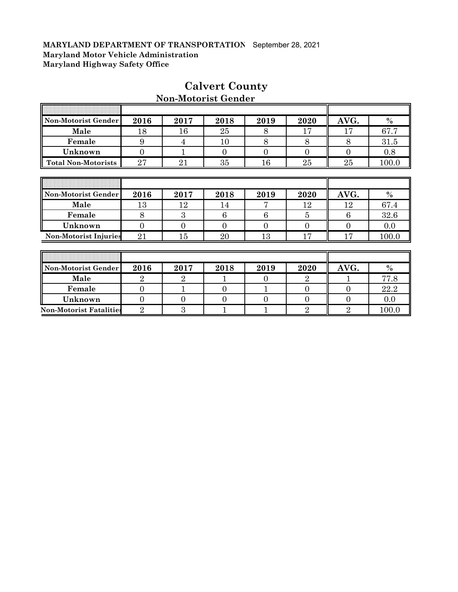F

| Non-Motorist Gender            | 2016           | 2017           | 2018     | 2019           | 2020           | AVG.             | $\%$  |
|--------------------------------|----------------|----------------|----------|----------------|----------------|------------------|-------|
| Male                           | 18             | 16             | 25       | 8              | 17             | 17               | 67.7  |
| Female                         | 9              | $\overline{4}$ | 10       | 8              | 8              | 8                | 31.5  |
| Unknown                        | $\overline{0}$ | 1              | $\Omega$ | $\theta$       | $\overline{0}$ | $\boldsymbol{0}$ | 0.8   |
| <b>Total Non-Motorists</b>     | 27             | 21             | 35       | 16             | 25             | 25               | 100.0 |
|                                |                |                |          |                |                |                  |       |
|                                |                |                |          |                |                |                  |       |
| Non-Motorist Gender            | 2016           | 2017           | 2018     | 2019           | 2020           | AVG.             | $\%$  |
| Male                           | 13             | 12             | 14       | 7              | 12             | 12               | 67.4  |
| Female                         | 8              | 3              | 6        | 6              | 5              | 6                | 32.6  |
| Unknown                        | $\overline{0}$ | $\theta$       | $\Omega$ | $\theta$       | $\overline{0}$ | $\overline{0}$   | 0.0   |
| <b>Non-Motorist Injuries</b>   | 21             | 15             | 20       | 13             | 17             | 17               | 100.0 |
|                                |                |                |          |                |                |                  |       |
|                                |                |                |          |                |                |                  |       |
| Non-Motorist Gender            | 2016           | 2017           | 2018     | 2019           | 2020           | AVG.             | $\%$  |
| Male                           | 2              | $\overline{2}$ |          | $\Omega$       | $\overline{2}$ |                  | 77.8  |
| Female                         | $\overline{0}$ | $\mathbf{1}$   | 0        |                | $\overline{0}$ | $\overline{0}$   | 22.2  |
| Unknown                        | $\overline{0}$ | $\overline{0}$ | 0        | $\overline{0}$ | $\overline{0}$ | $\overline{0}$   | 0.0   |
| <b>Non-Motorist Fatalities</b> | $\overline{2}$ | 3              |          |                | $\overline{2}$ | $\overline{2}$   | 100.0 |

# **Calvert County**

 $\overline{\mathbf{u}}$ 

# **Non-Motorist Gender**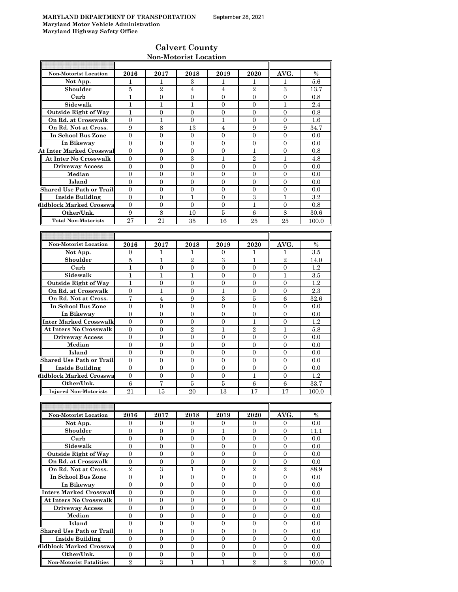## **Calvert County Non-Motorist Location**

| <b>Non-Motorist Location</b>     | 2016           | 2017             | 2018             | 2019             | 2020             | AVG.             | $\%$          |
|----------------------------------|----------------|------------------|------------------|------------------|------------------|------------------|---------------|
| Not App.                         | 1              | 1                | 3                | 1                | 1                | 1                | 5.6           |
| Shoulder                         | 5              | $\overline{2}$   | 4                | $\overline{4}$   | $\overline{2}$   | 3                | 13.7          |
| Curb                             | $\mathbf{1}$   | $\overline{0}$   | $\overline{0}$   | $\mathbf{0}$     | $\overline{0}$   | $\overline{0}$   | 0.8           |
| Sidewalk                         | $\mathbf{1}$   | $\mathbf{1}$     | 1                | $\mathbf{0}$     | $\mathbf{0}$     | 1                | 2.4           |
|                                  |                |                  |                  |                  |                  |                  |               |
| <b>Outside Right of Way</b>      | 1              | 0                | 0                | $\mathbf{0}$     | $\mathbf{0}$     | 0                | 0.8           |
| On Rd. at Crosswalk              | $\overline{0}$ | 1                | $\Omega$         | 1                | $\Omega$         | $\Omega$         | 1.6           |
| On Rd. Not at Cross.             | 9              | $\,8\,$          | 13               | $\overline{4}$   | 9                | 9                | 34.7          |
| In School Bus Zone               | $\overline{0}$ | 0                | $\mathbf{0}$     | $\mathbf{0}$     | $\mathbf{0}$     | $\mathbf{0}$     | 0.0           |
| In Bikeway                       | $\overline{0}$ | $\overline{0}$   | $\overline{0}$   | $\overline{0}$   | $\overline{0}$   | $\overline{0}$   | 0.0           |
| <b>At Inter Marked Crosswal</b>  | $\overline{0}$ | $\overline{0}$   | $\overline{0}$   | $\overline{0}$   | $\mathbf{1}$     | $\overline{0}$   | 0.8           |
| <b>At Inter No Crosswalk</b>     | $\mathbf{0}$   | $\overline{0}$   | 3                | $\mathbf{1}$     | $\overline{2}$   | 1                | 4.8           |
| <b>Driveway Access</b>           | 0              | 0                | 0                | $\mathbf{0}$     | $\mathbf{0}$     | 0                | 0.0           |
| Median                           | $\overline{0}$ | $\overline{0}$   | $\overline{0}$   | $\overline{0}$   | $\Omega$         | $\overline{0}$   | 0.0           |
|                                  | $\mathbf{0}$   | $\overline{0}$   | $\overline{0}$   | $\overline{0}$   | $\Omega$         | $\Omega$         |               |
| Island                           |                |                  |                  |                  |                  |                  | 0.0           |
| <b>Shared Use Path or Trails</b> | $\mathbf{0}$   | $\overline{0}$   | $\overline{0}$   | $\overline{0}$   | $\Omega$         | $\overline{0}$   | 0.0           |
| <b>Inside Building</b>           | $\mathbf{0}$   | $\overline{0}$   | 1                | $\mathbf{0}$     | 3                | 1                | $3.2\,$       |
| Midblock Marked Crosswa          | $\overline{0}$ | $\mathbf{0}$     | $\overline{0}$   | $\mathbf{0}$     | $\mathbf{1}$     | $\theta$         | 0.8           |
| Other/Unk.                       | 9              | 8                | 10               | 5                | 6                | 8                | 30.6          |
| <b>Total Non-Motorists</b>       | 27             | 21               | 35               | 16               | 25               | 25               | 100.0         |
|                                  |                |                  |                  |                  |                  |                  |               |
|                                  |                |                  |                  |                  |                  |                  |               |
|                                  |                |                  |                  |                  | 2020             |                  |               |
| <b>Non-Motorist Location</b>     | 2016           | 2017             | 2018             | 2019             |                  | AVG.             | $\frac{0}{0}$ |
| Not App.                         | $\mathbf{0}$   | 1                | 1                | $\mathbf{0}$     | $\mathbf{1}$     | 1                | $3.5\,$       |
| Shoulder                         | 5              | 1                | $\overline{2}$   | 3                | 1                | $\overline{2}$   | 14.0          |
| Curb                             | $\mathbf{1}$   | $\mathbf{0}$     | $\overline{0}$   | $\overline{0}$   | $\overline{0}$   | $\theta$         | 1.2           |
| Sidewalk                         | $\mathbf{1}$   | $\mathbf{1}$     | $\mathbf{1}$     | $\mathbf{0}$     | $\overline{0}$   | 1                | 3.5           |
| <b>Outside Right of Way</b>      | $\mathbf{1}$   | 0                | 0                | $\mathbf{0}$     | $\mathbf{0}$     | $\theta$         | 1.2           |
| On Rd. at Crosswalk              | $\mathbf{0}$   | 1                | $\overline{0}$   | 1                | $\overline{0}$   | 0                | 2.3           |
| On Rd. Not at Cross.             | $\overline{7}$ | $\overline{4}$   | 9                | 3                | 5                | 6                | 32.6          |
| In School Bus Zone               | $\mathbf{0}$   | $\overline{0}$   | $\overline{0}$   | $\overline{0}$   | $\Omega$         | $\Omega$         | 0.0           |
|                                  |                |                  |                  |                  | $\Omega$         | $\Omega$         |               |
| In Bikeway                       | $\mathbf{0}$   | $\overline{0}$   | $\overline{0}$   | $\overline{0}$   |                  |                  | 0.0           |
| Inter Marked Crosswalk           | $\Omega$       | $\overline{0}$   | $\overline{0}$   | $\overline{0}$   | 1                | $\mathbf{0}$     | 1.2           |
| <b>At Inters No Crosswalk</b>    | $\overline{0}$ | $\mathbf{0}$     | $\overline{2}$   | $\mathbf{1}$     | $\overline{2}$   | $\mathbf{1}$     | 5.8           |
| <b>Driveway Access</b>           | $\overline{0}$ | $\mathbf{0}$     | 0                | $\mathbf{0}$     | $\mathbf{0}$     | $\theta$         | 0.0           |
| Median                           | $\mathbf{0}$   | $\overline{0}$   | $\overline{0}$   | $\overline{0}$   | $\overline{0}$   | $\overline{0}$   | 0.0           |
| Island                           | $\mathbf{0}$   | $\overline{0}$   | $\overline{0}$   | $\mathbf{0}$     | $\overline{0}$   | $\overline{0}$   | 0.0           |
| <b>Shared Use Path or Trails</b> | $\mathbf{0}$   | $\overline{0}$   | 0                | $\overline{0}$   | $\mathbf{0}$     | 0                | 0.0           |
| <b>Inside Building</b>           | $\mathbf{0}$   | 0                | $\overline{0}$   | $\mathbf{0}$     | $\mathbf{0}$     | $\mathbf{0}$     | 0.0           |
| Midblock Marked Crosswa          | $\Omega$       | $\Omega$         | $\overline{0}$   | $\overline{0}$   | 1                | $\Omega$         | 1.2           |
|                                  |                | $\overline{7}$   |                  |                  |                  |                  |               |
| Other/Unk.                       | 6              |                  | 5                | $\bf 5$          | $\boldsymbol{6}$ | 6                | 33.7          |
| <b>Injured Non-Motorists</b>     | 21             | 15               | 20               | 13               | 17               | 17               | 100.0         |
|                                  |                |                  |                  |                  |                  |                  |               |
|                                  |                |                  |                  |                  |                  |                  |               |
| Non-Motorist Location            | 2016           | 2017             | 2018             | 2019             | 2020             | AVG.             | $\%$          |
| Not App.                         | $\overline{0}$ | $\mathbf{0}$     | 0                | $\mathbf{0}$     | $\mathbf{0}$     | 0                | 0.0           |
| Shoulder                         | $\mathbf{0}$   | 0                | 0                | 1                | $\mathbf{0}$     | 0                | 11.1          |
| Curb                             | $\overline{0}$ | $\overline{0}$   | $\overline{0}$   | $\overline{0}$   | $\Omega$         | $\mathbf{0}$     | 0.0           |
| Sidewalk                         | $\mathbf{0}$   | $\overline{0}$   | $\boldsymbol{0}$ | $\mathbf{0}$     | $\overline{0}$   | $\overline{0}$   |               |
|                                  |                |                  |                  |                  |                  |                  | 0.0           |
| <b>Outside Right of Way</b>      | $\overline{0}$ | $\overline{0}$   | 0                | $\overline{0}$   | $\overline{0}$   | $\mathbf{0}$     | 0.0           |
| On Rd. at Crosswalk              | $\overline{0}$ | $\overline{0}$   | $\overline{0}$   | $\overline{0}$   | $\overline{0}$   | $\overline{0}$   | 0.0           |
| On Rd. Not at Cross.             | $\sqrt{2}$     | $\,3$            | $\mathbf{1}$     | $\mathbf{0}$     | $\overline{2}$   | $\overline{2}$   | 88.9          |
| In School Bus Zone               | $\mathbf{0}$   | $\overline{0}$   | $\boldsymbol{0}$ | $\overline{0}$   | $\overline{0}$   | $\boldsymbol{0}$ | 0.0           |
| In Bikeway                       | 0              | 0                | 0                | 0                | 0                | 0                | 0.0           |
| <b>Inters Marked Crosswall</b>   | $\overline{0}$ | $\overline{0}$   | $\overline{0}$   | $\overline{0}$   | $\overline{0}$   | $\overline{0}$   | 0.0           |
| <b>At Inters No Crosswalk</b>    | $\overline{0}$ | $\overline{0}$   | $\overline{0}$   | $\overline{0}$   | $\overline{0}$   | $\overline{0}$   | 0.0           |
|                                  |                |                  |                  |                  |                  |                  |               |
| <b>Driveway Access</b>           | $\overline{0}$ | $\overline{0}$   | $\overline{0}$   | $\overline{0}$   | $\overline{0}$   | $\overline{0}$   | $0.0\,$       |
| Median                           | $\overline{0}$ | $\overline{0}$   | 0                | $\overline{0}$   | $\overline{0}$   | $\overline{0}$   | 0.0           |
| Island                           | $\overline{0}$ | $\overline{0}$   | $\overline{0}$   | $\overline{0}$   | $\overline{0}$   | $\overline{0}$   | 0.0           |
| <b>Shared Use Path or Trails</b> | $\overline{0}$ | $\overline{0}$   | $\boldsymbol{0}$ | $\overline{0}$   | $\overline{0}$   | $\overline{0}$   | 0.0           |
| <b>Inside Building</b>           | $\overline{0}$ | 0                | 0                | 0                | $\mathbf{0}$     | $\mathbf{0}$     | 0.0           |
| Midblock Marked Crosswa          | $\overline{0}$ | $\overline{0}$   | $\overline{0}$   | $\overline{0}$   | $\mathbf{0}$     | $\mathbf{0}$     | 0.0           |
| Other/Unk.                       | $\mathbf{0}$   | $\boldsymbol{0}$ | $\boldsymbol{0}$ | $\boldsymbol{0}$ | $\boldsymbol{0}$ | $\mathbf{0}$     | 0.0           |
| <b>Non-Motorist Fatalities</b>   | $\overline{2}$ | 3                | $\mathbf{1}$     | $\mathbf{1}$     | $\overline{2}$   | $\overline{2}$   | 100.0         |
|                                  |                |                  |                  |                  |                  |                  |               |